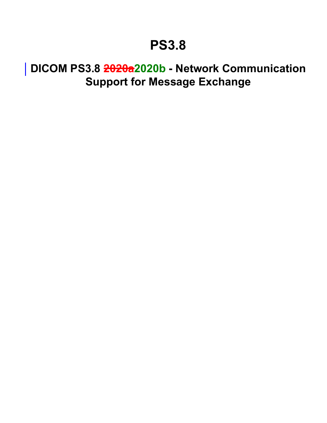## <span id="page-0-0"></span>**DICOM PS3.8 2020a2020b - Network Communication Support for Message Exchange**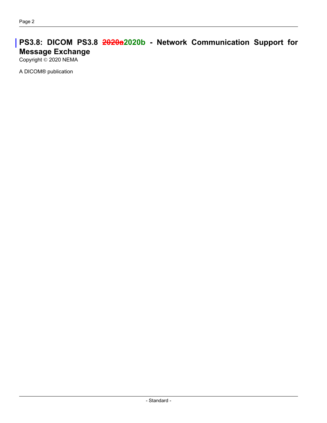## **PS3.8: DICOM PS3.8 2020a2020b - Network Communication Support for Message Exchange**

Copyright © 2020 NEMA

A DICOM® publication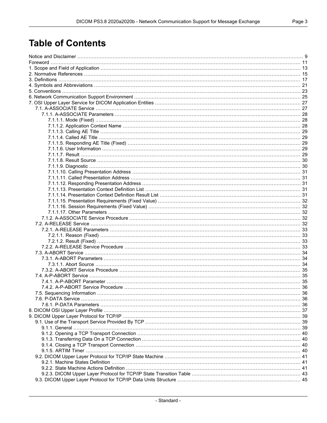## **Table of Contents**

| 7.5. Sequencing Information |  |
|-----------------------------|--|
|                             |  |
|                             |  |
|                             |  |
|                             |  |
|                             |  |
|                             |  |
|                             |  |
|                             |  |
|                             |  |
|                             |  |
|                             |  |
|                             |  |
|                             |  |
|                             |  |
|                             |  |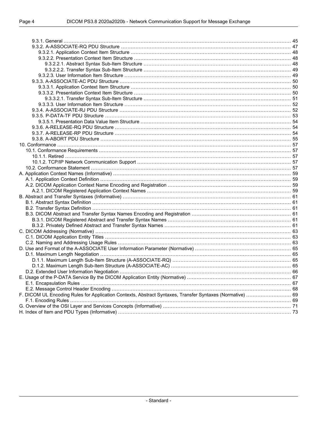| F. DICOM UL Encoding Rules for Application Contexts, Abstract Syntaxes, Transfer Syntaxes (Normative)  69 |  |
|-----------------------------------------------------------------------------------------------------------|--|
|                                                                                                           |  |
|                                                                                                           |  |
|                                                                                                           |  |
|                                                                                                           |  |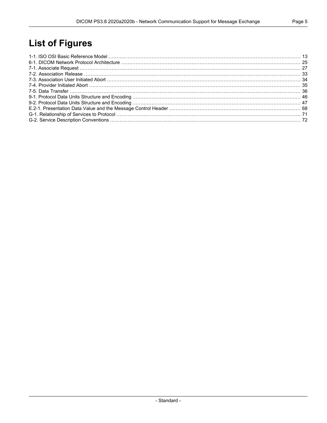## **List of Figures**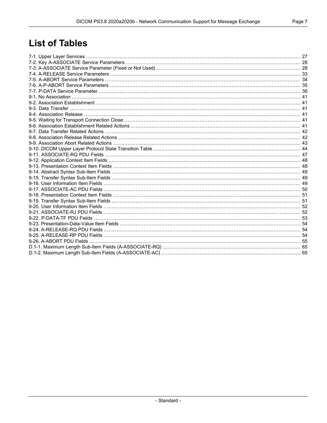## **List of Tables**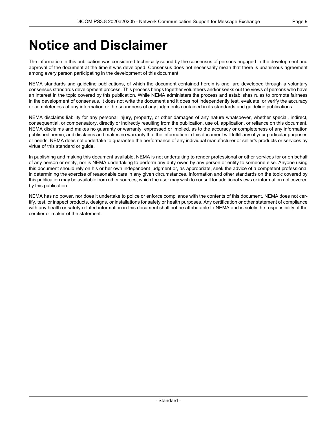## <span id="page-8-0"></span>**Notice and Disclaimer**

The information in this publication was considered technically sound by the consensus of persons engaged in the development and approval of the document at the time it was developed. Consensus does not necessarily mean that there is unanimous agreement among every person participating in the development of this document.

NEMA standards and guideline publications, of which the document contained herein is one, are developed through a voluntary consensus standards development process. This process brings together volunteers and/or seeks out the views of persons who have an interest in the topic covered by this publication. While NEMA administers the process and establishes rules to promote fairness in the development of consensus, it does not write the document and it does not independently test, evaluate, or verify the accuracy or completeness of any information or the soundness of any judgments contained in its standards and guideline publications.

NEMA disclaims liability for any personal injury, property, or other damages of any nature whatsoever, whether special, indirect, consequential, or compensatory, directly or indirectly resulting from the publication, use of, application, or reliance on this document. NEMA disclaims and makes no guaranty or warranty, expressed or implied, as to the accuracy or completeness of any information published herein, and disclaims and makes no warranty that the information in this document will fulfill any of your particular purposes or needs. NEMA does not undertake to guarantee the performance of any individual manufacturer or seller's products or services by virtue of this standard or guide.

In publishing and making this document available, NEMA is not undertaking to render professional or other services for or on behalf of any person or entity, nor is NEMA undertaking to perform any duty owed by any person or entity to someone else. Anyone using this document should rely on his or her own independent judgment or, as appropriate, seek the advice of a competent professional in determining the exercise of reasonable care in any given circumstances. Information and other standards on the topic covered by this publication may be available from other sources, which the user may wish to consult for additional views or information not covered by this publication.

NEMA has no power, nor does it undertake to police or enforce compliance with the contents of this document. NEMA does not cer tify, test, or inspect products, designs, or installations for safety or health purposes. Any certification or other statement of compliance with any health or safety-related information in this document shall not be attributable to NEMA and is solely the responsibility of the certifier or maker of the statement.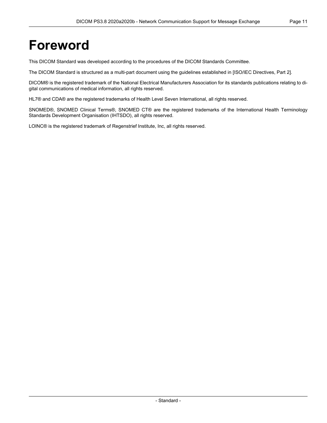## <span id="page-10-0"></span>**Foreword**

This DICOM Standard was developed according to the procedures of the DICOM Standards Committee.

The DICOM Standard is structured as a multi-part document using the guidelines established in [ISO/IEC [Directives,](#page-14-1) Part 2].

DICOM® is the registered trademark of the National Electrical Manufacturers Association for its standards publications relating to di gital communications of medical information, all rights reserved.

HL7® and CDA® are the registered trademarks of Health Level Seven International, all rights reserved.

SNOMED®, SNOMED Clinical Terms®, SNOMED CT® are the registered trademarks of the International Health Terminology Standards Development Organisation (IHTSDO), all rights reserved.

LOINC® is the registered trademark of Regenstrief Institute, Inc, all rights reserved.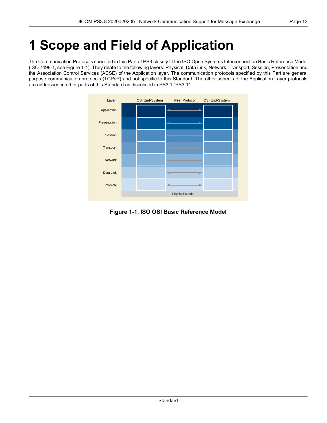# <span id="page-12-0"></span>**1 Scope and Field of Application**

<span id="page-12-1"></span>The Communication Protocols specified in this Part of PS3 closely fit the ISO Open Systems Interconnection Basic Reference Model (ISO 7498-1, see [Figure](#page-12-1) 1-1). They relate to the following layers: Physical, Data Link, Network, Transport, Session, Presentation and the Association Control Services (ACSE) of the Application layer. The communication protocols specified by this Part are general purpose communication protocols (TCP/IP) and not specific to this Standard. The other aspects of the Application Layer protocols are addressed in other parts of this Standard as discussed in PS3.1 ["PS3.1".](part01.pdf#PS3.1)



**Figure 1-1. ISO OSI Basic Reference Model**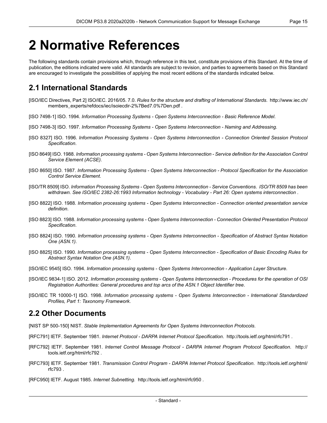## <span id="page-14-0"></span>**2 Normative References**

The following standards contain provisions which, through reference in this text, constitute provisions of this Standard. At the time of publication, the editions indicated were valid. All standards are subject to revision, and parties to agreements based on this Standard are encouraged to investigate the possibilities of applying the most recent editions of the standards indicated below.

## <span id="page-14-1"></span>**2.1 International Standards**

- <span id="page-14-2"></span>[ISO/IEC Directives, Part 2] ISO/IEC. 2016/05. 7.0. *Rules for the structure and drafting of International Standards*. [http://www.iec.ch/](http://www.iec.ch/members_experts/refdocs/iec/isoiecdir-2%7Bed7.0%7Den.pdf) [members\\_experts/refdocs/iec/isoiecdir-2%7Bed7.0%7Den.pdf](http://www.iec.ch/members_experts/refdocs/iec/isoiecdir-2%7Bed7.0%7Den.pdf) .
- <span id="page-14-3"></span>[ISO 7498-1] ISO. 1994. *Information Processing Systems - Open Systems Interconnection - Basic Reference Model*.
- [ISO 7498-3] ISO. 1997. *Information Processing Systems - Open Systems Interconnection - Naming and Addressing*.
- <span id="page-14-6"></span>[ISO 8327] ISO. 1996. *Information Processing Systems - Open Systems Interconnection - Connection Oriented Session Protocol Specification*.
- [ISO 8649] ISO. 1988. Information processing systems Open Systems Interconnection Service definition for the Association Control *Service Element (ACSE)*.
- <span id="page-14-4"></span>[ISO 8650] ISO. 1987. *Information Processing Systems - Open Systems Interconnection - Protocol Specification for the Association Control Service Element*.
- <span id="page-14-5"></span>[ISO/TR 8509] ISO. *Information Processing Systems - Open Systems Interconnection - Service Conventions*. *ISO/TR 8509 has been withdrawn. See ISO/IEC 2382-26:1993 Information technology - Vocabulary - Part 26: Open systems interconnection* .
- [ISO 8822] ISO. 1988. *Information processing systems - Open Systems Interconnection - Connection oriented presentation service definition*.
- [ISO 8823] ISO. 1988. *Information processing systems - Open Systems Interconnection - Connection Oriented Presentation Protocol Specification*.
- [ISO 8824] ISO. 1990. *Information processing systems - Open Systems Interconnection - Specification of Abstract Syntax Notation One (ASN.1)*.
- [ISO 8825] ISO. 1990. Information processing systems Open Systems Interconnection Specification of Basic Encoding Rules for *Abstract Syntax Notation One (ASN.1)*.
- [ISO/IEC 9545] ISO. 1994. *Information processing systems - Open Systems Interconnection - Application Layer Structure*.
- [ISO/IEC 9834-1] ISO. 2012. Information processing systems Open Systems Interconnection Procedures for the operation of OSI *Registration Authorities: General procedures and top arcs of the ASN.1 Object Identifier tree*.
- [ISO/IEC TR 10000-1] ISO. 1998. *Information processing systems - Open Systems Interconnection - International Standardized Profiles, Part 1: Taxonomy Framework*.

## **2.2 Other Documents**

- [NIST SP 500-150] NIST. *Stable Implementation Agreements for Open Systems Interconnection Protocols*.
- [RFC791] IETF. September 1981. *Internet Protocol - DARPA Internet Protocol Specification*. <http://tools.ietf.org/html/rfc791> .
- [RFC792] IETF. September 1981. *Internet Control Message Protocol - DARPA Internet Program Protocol Specification*. [http://](http://tools.ietf.org/html/rfc792) [tools.ietf.org/html/rfc792](http://tools.ietf.org/html/rfc792) .
- [RFC793] IETF. September 1981. *Transmission Control Program - DARPA Internet Protocol Specification*. [http://tools.ietf.org/html/](http://tools.ietf.org/html/rfc793) [rfc793](http://tools.ietf.org/html/rfc793) .
- [RFC950] IETF. August 1985. *Internet Subnetting*. <http://tools.ietf.org/html/rfc950> .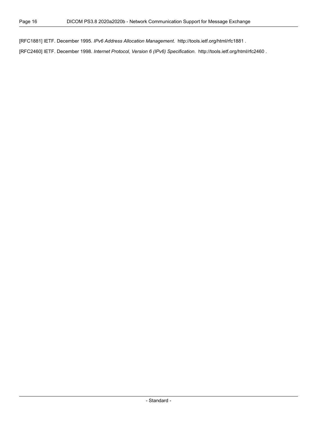[RFC1881] IETF. December 1995. *IPv6 Address Allocation Management*. <http://tools.ietf.org/html/rfc1881> .

[RFC2460] IETF. December 1998. *Internet Protocol, Version 6 (IPv6) Specification*. <http://tools.ietf.org/html/rfc2460> .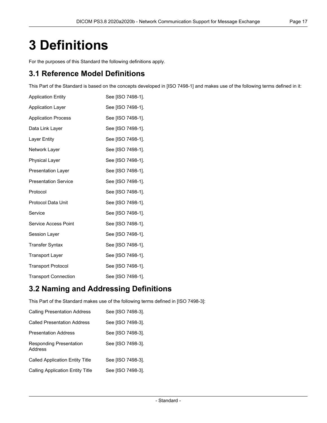# <span id="page-16-0"></span>**3 Definitions**

For the purposes of this Standard the following definitions apply.

## **3.1 Reference Model Definitions**

This Part of the Standard is based on the concepts developed in [ISO [7498-1\]](#page-14-2) and makes use of the following terms defined in it:

| <b>Application Entity</b>   | See [ISO 7498-1]. |
|-----------------------------|-------------------|
| <b>Application Layer</b>    | See [ISO 7498-1]. |
| <b>Application Process</b>  | See [ISO 7498-1]. |
| Data Link Layer             | See [ISO 7498-1]. |
| Layer Entity                | See [ISO 7498-1]. |
| Network Layer               | See [ISO 7498-1]. |
| <b>Physical Layer</b>       | See [ISO 7498-1]. |
| <b>Presentation Layer</b>   | See [ISO 7498-1]. |
| <b>Presentation Service</b> | See [ISO 7498-1]. |
| Protocol                    | See [ISO 7498-1]. |
| Protocol Data Unit          | See [ISO 7498-1]. |
| Service                     | See [ISO 7498-1]. |
| Service Access Point        | See [ISO 7498-1]. |
| Session Layer               | See [ISO 7498-1]. |
| <b>Transfer Syntax</b>      | See [ISO 7498-1]. |
| <b>Transport Layer</b>      | See [ISO 7498-1]. |
| <b>Transport Protocol</b>   | See [ISO 7498-1]. |
| <b>Transport Connection</b> | See [ISO 7498-1]. |

## **3.2 Naming and Addressing Definitions**

This Part of the Standard makes use of the following terms defined in [ISO [7498-3\]](#page-14-3):

| <b>Calling Presentation Address</b>       | See [ISO 7498-3]. |
|-------------------------------------------|-------------------|
| <b>Called Presentation Address</b>        | See [ISO 7498-3]. |
| <b>Presentation Address</b>               | See [ISO 7498-3]. |
| <b>Responding Presentation</b><br>Address | See [ISO 7498-3]. |
| <b>Called Application Entity Title</b>    | See [ISO 7498-3]. |
| <b>Calling Application Entity Title</b>   | See [ISO 7498-3]. |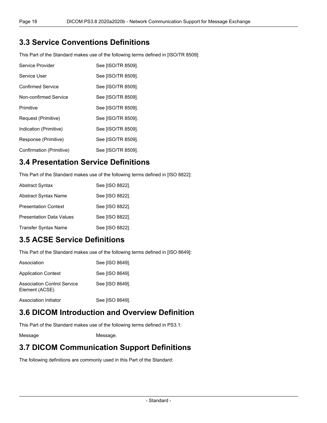## **3.3 Service Conventions Definitions**

This Part of the Standard makes use of the following terms defined in [\[ISO/TR](#page-14-4) 8509]:

| Service Provider         | See [ISO/TR 8509]. |
|--------------------------|--------------------|
| Service User             | See [ISO/TR 8509]. |
| <b>Confirmed Service</b> | See [ISO/TR 8509]. |
| Non-confirmed Service    | See [ISO/TR 8509]. |
| Primitive                | See [ISO/TR 8509]. |
| Request (Primitive)      | See [ISO/TR 8509]. |
| Indication (Primitive)   | See [ISO/TR 8509]. |
| Response (Primitive)     | See [ISO/TR 8509]. |
| Confirmation (Primitive) | See [ISO/TR 8509]. |

## **3.4 Presentation Service Definitions**

This Part of the Standard makes use of the following terms defined in [ISO [8822\]](#page-14-5):

| <b>Abstract Syntax</b>          | See [ISO 8822]. |
|---------------------------------|-----------------|
| Abstract Syntax Name            | See [ISO 8822]. |
| <b>Presentation Context</b>     | See [ISO 8822]. |
| <b>Presentation Data Values</b> | See [ISO 8822]. |
| <b>Transfer Syntax Name</b>     | See [ISO 8822]. |

## **3.5 ACSE Service Definitions**

This Part of the Standard makes use of the following terms defined in [ISO [8649\]](#page-14-6):

| Association                                          | See [ISO 8649]. |
|------------------------------------------------------|-----------------|
| <b>Application Context</b>                           | See [ISO 8649]. |
| <b>Association Control Service</b><br>Element (ACSE) | See [ISO 8649]. |
| Association Initiator                                | See [ISO 8649]. |

## **3.6 DICOM Introduction and Overview Definition**

This Part of the Standard makes use of the following terms defined in [PS3.1:](part01.pdf#PS3.1)

Message [Message.](part01.pdf#glossentry_Message)

## **3.7 DICOM Communication Support Definitions**

The following definitions are commonly used in this Part of the Standard: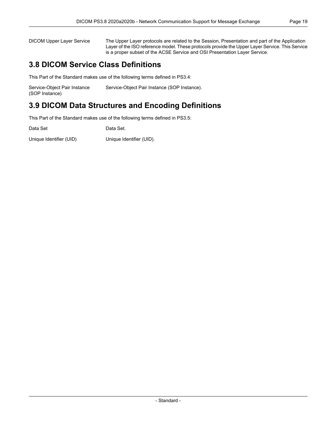DICOM Upper Layer Service The Upper Layer protocols are related to the Session, Presentation and part of the Application Layer of the ISO reference model. These protocols provide the Upper Layer Service. This Service is a proper subset of the ACSE Service and OSI Presentation Layer Service.

## **3.8 DICOM Service Class Definitions**

This Part of the Standard makes use of the following terms defined in [PS3.4:](part04.pdf#PS3.4)

| Service-Object Pair Instance | Service-Object Pair Instance (SOP Instance). |
|------------------------------|----------------------------------------------|
| (SOP Instance)               |                                              |

## **3.9 DICOM Data Structures and Encoding Definitions**

This Part of the Standard makes use of the following terms defined in [PS3.5:](part05.pdf#PS3.5)

| Data Set                | Data Set.                |
|-------------------------|--------------------------|
| Unique Identifier (UID) | Unique Identifier (UID). |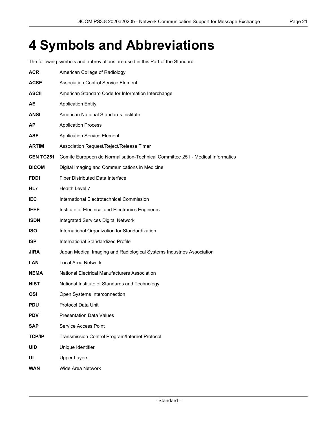# <span id="page-20-0"></span>**4 Symbols and Abbreviations**

The following symbols and abbreviations are used in this Part of the Standard.

| <b>ACR</b>      | American College of Radiology                                                  |
|-----------------|--------------------------------------------------------------------------------|
| <b>ACSE</b>     | <b>Association Control Service Element</b>                                     |
| <b>ASCII</b>    | American Standard Code for Information Interchange                             |
| AE              | <b>Application Entity</b>                                                      |
| ANSI            | American National Standards Institute                                          |
| AP              | <b>Application Process</b>                                                     |
| ASE             | <b>Application Service Element</b>                                             |
| ARTIM           | Association Request/Reject/Release Timer                                       |
| <b>CENTC251</b> | Comite Europeen de Normalisation-Technical Committee 251 - Medical Informatics |
| <b>DICOM</b>    | Digital Imaging and Communications in Medicine                                 |
| <b>FDDI</b>     | <b>Fiber Distributed Data Interface</b>                                        |
| HL7             | Health Level 7                                                                 |
| <b>IEC</b>      | International Electrotechnical Commission                                      |
| <b>IEEE</b>     | Institute of Electrical and Electronics Engineers                              |
| <b>ISDN</b>     | <b>Integrated Services Digital Network</b>                                     |
| <b>ISO</b>      | International Organization for Standardization                                 |
| <b>ISP</b>      | International Standardized Profile                                             |
| JIRA            | Japan Medical Imaging and Radiological Systems Industries Association          |
| LAN             | Local Area Network                                                             |
| <b>NEMA</b>     | National Electrical Manufacturers Association                                  |
| <b>NIST</b>     | National Institute of Standards and Technology                                 |
| OSI             | Open Systems Interconnection                                                   |
| PDU             | Protocol Data Unit                                                             |
| <b>PDV</b>      | <b>Presentation Data Values</b>                                                |
| <b>SAP</b>      | Service Access Point                                                           |
| <b>TCP/IP</b>   | Transmission Control Program/Internet Protocol                                 |
| <b>UID</b>      | Unique Identifier                                                              |
| <b>UL</b>       | <b>Upper Layers</b>                                                            |
| <b>WAN</b>      | Wide Area Network                                                              |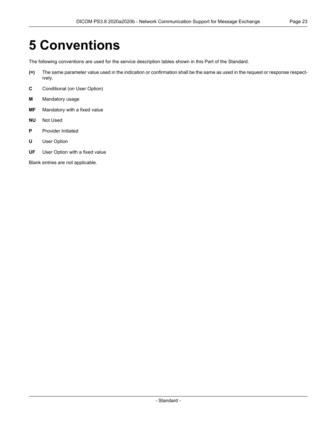# <span id="page-22-0"></span>**5 Conventions**

The following conventions are used for the service description tables shown in this Part of the Standard.

- **(=)** The same parameter value used in the indication or confirmation shall be the same as used in the request or response respect ively.
- **C** Conditional (on User Option)
- **M** Mandatory usage
- **MF** Mandatory with a fixed value
- **NU** Not Used
- **P** Provider Initiated
- **U** User Option
- **UF** User Option with a fixed value

Blank entries are not applicable.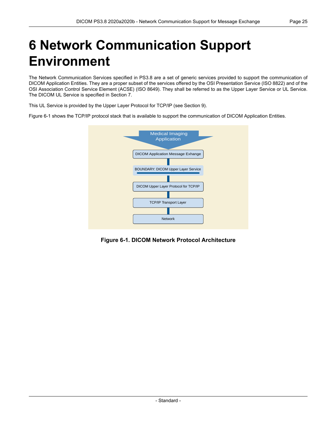# <span id="page-24-0"></span>**6 Network Communication Support Environment**

The Network Communication Services specified in [PS3.8](#page-0-0) are a set of generic services provided to support the communication of DICOM Application Entities. They are a proper subset of the services offered by the OSI Presentation Service (ISO 8822) and of the OSI Association Control Service Element (ACSE) (ISO 8649). They shall be referred to as the Upper Layer Service or UL Service. The DICOM UL Service is specified in Section 7.

This UL Service is provided by the Upper Layer Protocol for TCP/IP (see Section 9).

<span id="page-24-1"></span>[Figure](#page-24-1) 6-1 shows the TCP/IP protocol stack that is available to support the communication of DICOM Application Entities.



**Figure 6-1. DICOM Network Protocol Architecture**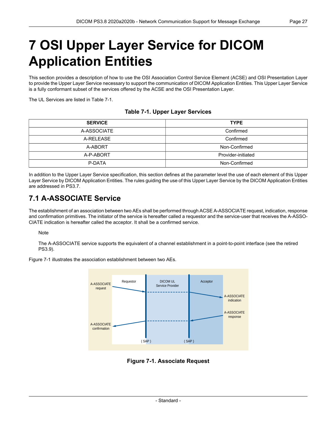## <span id="page-26-0"></span>**7 OSI Upper Layer Service for DICOM Application Entities**

This section provides a description of how to use the OSI Association Control Service Element (ACSE) and OSI Presentation Layer to provide the Upper Layer Service necessary to support the communication of DICOM Application Entities. This Upper Layer Service is a fully conformant subset of the services offered by the ACSE and the OSI Presentation Layer.

<span id="page-26-3"></span>The UL Services are listed in [Table](#page-26-3) 7-1.

#### **Table 7-1. Upper Layer Services**

| <b>SERVICE</b> | <b>TYPE</b>        |  |
|----------------|--------------------|--|
| A-ASSOCIATE    | Confirmed          |  |
| A-RELEASE      | Confirmed          |  |
| A-ABORT        | Non-Confirmed      |  |
| A-P-ABORT      | Provider-initiated |  |
| P-DATA         | Non-Confirmed      |  |

<span id="page-26-1"></span>In addition to the Upper Layer Service specification, this section defines at the parameter level the use of each element of this Upper Layer Service by DICOM Application Entities. The rules guiding the use of this Upper Layer Service by the DICOM Application Entities are addressed in [PS3.7.](part07.pdf#PS3.7)

## **7.1 A-ASSOCIATE Service**

The establishment of an association between two AEs shall be performed through ACSE A-ASSOCIATE request, indication, response and confirmation primitives. The initiator of the service is hereafter called a requestor and the service-user that receives the A-ASSO- CIATE indication is hereafter called the acceptor. It shall be a confirmed service.

#### Note

<span id="page-26-2"></span>The A-ASSOCIATE service supports the equivalent of a channel establishment in a point-to-point interface (see the retired PS3.9).

[Figure](#page-26-2) 7-1 illustrates the association establishment between two AEs.



**Figure 7-1. Associate Request**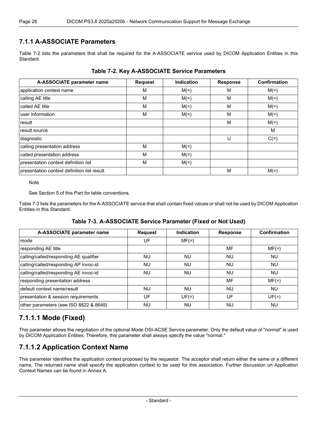#### <span id="page-27-0"></span>**7.1.1 A-ASSOCIATE Parameters**

<span id="page-27-3"></span>[Table](#page-27-3) 7-2 lists the parameters that shall be required for the A-ASSOCIATE service used by DICOM Application Entities in this Standard.

| A-ASSOCIATE parameter name                  | <b>Request</b> | <b>Indication</b> | <b>Response</b> | Confirmation |
|---------------------------------------------|----------------|-------------------|-----------------|--------------|
| application context name                    | M              | $M(=)$            | м               | $M(=)$       |
| calling AE title                            | M              | $M(=)$            | M               | $M(=)$       |
| called AE title                             | M              | $M(=)$            | M               | $M(=)$       |
| user information                            | M              | $M(=)$            | M               | $M(=)$       |
| result                                      |                |                   | M               | $M(=)$       |
| result source                               |                |                   |                 | M            |
| diagnostic                                  |                |                   | U               | $C(=)$       |
| calling presentation address                | M              | $M(=)$            |                 |              |
| called presentation address                 | M              | $M(=)$            |                 |              |
| presentation context definition list        | M              | $M(=)$            |                 |              |
| presentation context definition list result |                |                   | M               | $M(=)$       |

#### **Table 7-2. Key A-ASSOCIATE Service Parameters**

**Note** 

See Section 5 of this Part for table conventions.

<span id="page-27-4"></span>[Table](#page-27-4) 7-3 lists the parameters for the A-ASSOCIATE service that shall contain fixed values or shall not be used by DICOM Application Entities in this Standard.

#### **Table 7-3. A-ASSOCIATE Service Parameter (Fixed or Not Used)**

| A-ASSOCIATE parameter name             | <b>Request</b> | Indication | <b>Response</b> | Confirmation |
|----------------------------------------|----------------|------------|-----------------|--------------|
| mode                                   | UF             | $MF(=)$    |                 |              |
| responding AE title                    |                |            | MF              | $MF(=)$      |
| calling/called/responding AE qualifier | NU             | <b>NU</b>  | NU              | <b>NU</b>    |
| calling/called/responding AP invoc-id  | <b>NU</b>      | <b>NU</b>  | <b>NU</b>       | <b>NU</b>    |
| calling/called/responding AE invoc-id  | NU.            | <b>NU</b>  | <b>NU</b>       | <b>NU</b>    |
| responding presentation address        |                |            | MF              | $MF(=)$      |
| default context name/result            | NU             | <b>NU</b>  | <b>NU</b>       | <b>NU</b>    |
| presentation & session requirements    | UF             | $UF(=)$    | UF              | $UF(=)$      |
| other parameters (see ISO 8822 & 8649) | <b>NU</b>      | <b>NU</b>  | <b>NU</b>       | <b>NU</b>    |

## <span id="page-27-2"></span><span id="page-27-1"></span>**7.1.1.1 Mode (Fixed)**

This parameter allows the negotiation of the optional Mode OSI-ACSE Service parameter. Only the default value of "normal" is used by DICOM Application Entities. Therefore, this parameter shall always specify the value "normal."

## **7.1.1.2 Application Context Name**

This parameter identifies the application context proposed by the requestor. The acceptor shall return either the same or a different name. The returned name shall specify the application context to be used for this association. Further discussion on Application Context Names can be found in [Annex](#page-58-0) A.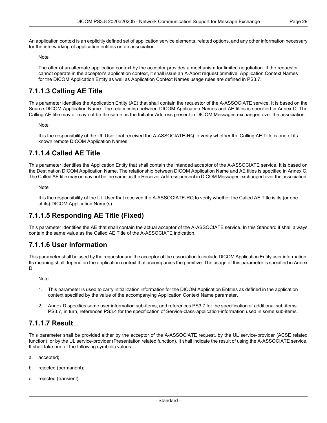The offer of an alternate application context by the acceptor provides a mechanism for limited negotiation. If the requestor cannot operate in the acceptor's application context, it shall issue an A-Abort request primitive. Application Context Names for the DICOM Application Entity as well as Application Context Names usage rules are defined in [PS3.7](part07.pdf#PS3.7).

## <span id="page-28-0"></span>**7.1.1.3 Calling AE Title**

This parameter identifies the Application Entity (AE) that shall contain the requestor of the A-ASSOCIATE service. It is based on the Source DICOM Application Name. The relationship between DICOM Application Names and AE titles is specified in [Annex](#page-62-0) C. The Calling AE title may or may not be the same as the Initiator Address present in DICOM Messages exchanged over the association.

Note

<span id="page-28-1"></span>It is the responsibility of the UL User that received the A-ASSOCIATE-RQ to verify whether the Calling AE Title is one of its known remote DICOM Application Names.

#### **7.1.1.4 Called AE Title**

This parameter identifies the Application Entity that shall contain the intended acceptor of the A-ASSOCIATE service. It is based on the Destination DICOM Application Name. The relationship between DICOM Application Name and AE titles is specified in [Annex](#page-62-0) C. The Called AE title may or may not be the same as the Receiver Address present in DICOM Messages exchanged over the association.

<span id="page-28-2"></span>**Note** 

It is the responsibility of the UL User that received the A-ASSOCIATE-RQ to verify whether the Called AE Title is its (or one of its) DICOM Application Name(s).

### <span id="page-28-3"></span>**7.1.1.5 Responding AE Title (Fixed)**

This parameter identifies the AE that shall contain the actual acceptor of the A-ASSOCIATE service. In this Standard it shall always contain the same value as the Called AE Title of the A-ASSOCIATE indication.

### **7.1.1.6 User Information**

This parameter shall be used by the requestor and the acceptor of the association to include DICOM Application Entity user information. Its meaning shall depend on the application context that accompanies the primitive. The usage of this parameter is specified in [Annex](#page-64-0) [D](#page-64-0).

**Note** 

- <span id="page-28-4"></span>1. This parameter is used to carry initialization information for the DICOM Application Entities as defined in the application context specified by the value of the accompanying Application Context Name parameter.
- 2. [Annex](#page-64-0) D specifies some user information sub-items, and references [PS3.7](part07.pdf#PS3.7) for the specification of additional sub-items. [PS3.7](part07.pdf#PS3.7), in turn, references [PS3.4](part04.pdf#PS3.4) for the specification of Service-class-application-information used in some sub-items.

#### **7.1.1.7 Result**

This parameter shall be provided either by the acceptor of the A-ASSOCIATE request, by the UL service-provider (ACSE related function), or by the UL service-provider (Presentation related function). It shall indicate the result of using the A-ASSOCIATE service. It shall take one of the following symbolic values:

- a. accepted;
- b. rejected (permanent);
- c. rejected (transient).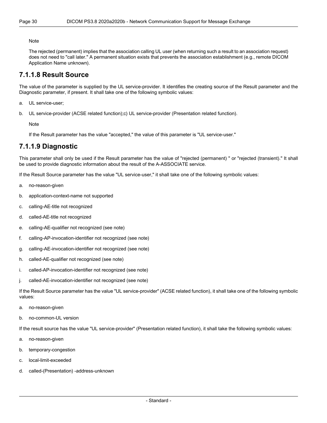The rejected (permanent) implies that the association calling UL user (when returning such a result to an association request) does not need to "call later." A permanent situation exists that prevents the association establishment (e.g., remote DICOM Application Name unknown).

#### <span id="page-29-0"></span>**7.1.1.8 Result Source**

The value of the parameter is supplied by the UL service-provider. It identifies the creating source of the Result parameter and the Diagnostic parameter, if present. It shall take one of the following symbolic values:

- a. UL service-user;
- b. UL service-provider (ACSE related function);c) UL service-provider (Presentation related function).

<span id="page-29-1"></span>Note

If the Result parameter has the value "accepted," the value of this parameter is "UL service-user."

#### **7.1.1.9 Diagnostic**

This parameter shall only be used if the Result parameter has the value of "rejected (permanent) " or "rejected (transient)." It shall be used to provide diagnostic information about the result of the A-ASSOCIATE service.

If the Result Source parameter has the value "UL service-user," it shall take one of the following symbolic values:

- a. no-reason-given
- b. application-context-name not supported
- c. calling-AE-title not recognized
- d. called-AE-title not recognized
- e. calling-AE-qualifier not recognized (see note)
- f. calling-AP-invocation-identifier not recognized (see note)
- g. calling-AE-invocation-identifier not recognized (see note)
- h. called-AE-qualifier not recognized (see note)
- i. called-AP-invocation-identifier not recognized (see note)
- j. called-AE-invocation-identifier not recognized (see note)

If the Result Source parameter has the value "UL service-provider" (ACSE related function), it shall take one of the following symbolic values:

- a. no-reason-given
- b. no-common-UL version

If the result source has the value "UL service-provider" (Presentation related function), it shall take the following symbolic values:

- a. no-reason-given
- b. temporary-congestion
- c. local-limit-exceeded
- d. called-(Presentation) -address-unknown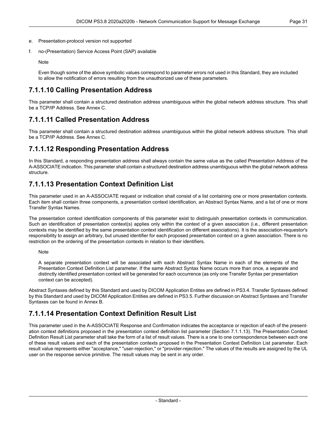- e. Presentation-protocol version not supported
- f. no-(Presentation) Service Access Point (SAP) available

<span id="page-30-0"></span>Even though some of the above symbolic values correspond to parameter errors not used in this Standard, they are included to allow the notification of errors resulting from the unauthorized use of these parameters.

## **7.1.1.10 Calling Presentation Address**

<span id="page-30-1"></span>This parameter shall contain a structured destination address unambiguous within the global network address structure. This shall be a TCP/IP Address. See [Annex](#page-62-0) C.

### **7.1.1.11 Called Presentation Address**

<span id="page-30-2"></span>This parameter shall contain a structured destination address unambiguous within the global network address structure. This shall be a TCP/IP Address. See [Annex](#page-62-0) C.

### **7.1.1.12 Responding Presentation Address**

<span id="page-30-3"></span>In this Standard, a responding presentation address shall always contain the same value as the called Presentation Address of the A-ASSOCIATE indication. This parameter shall contain a structured destination address unambiguous within the global network address structure.

## **7.1.1.13 Presentation Context Definition List**

This parameter used in an A-ASSOCIATE request or indication shall consist of a list containing one or more presentation contexts. Each item shall contain three components, a presentation context identification, an Abstract Syntax Name, and a list of one or more Transfer Syntax Names.

The presentation context identification components of this parameter exist to distinguish presentation contexts in communication. Such an identification of presentation context(s) applies only within the context of a given association (i.e., different presentation contexts may be identified by the same presentation context identification on different associations). It is the association-requestor's responsibility to assign an arbitrary, but unused identifier for each proposed presentation context on a given association. There is no restriction on the ordering of the presentation contexts in relation to their identifiers.

Note

A separate presentation context will be associated with each Abstract Syntax Name in each of the elements of the Presentation Context Definition List parameter. If the same Abstract Syntax Name occurs more than once, a separate and distinctly identified presentation context will be generated for each occurrence (as only one Transfer Syntax per presentation context can be accepted).

<span id="page-30-4"></span>Abstract Syntaxes defined by this Standard and used by DICOM Application Entites are defined in [PS3.4.](part04.pdf#PS3.4) Transfer Syntaxes defined by this Standard and used by DICOM Application Entities are defined in [PS3.5.](part05.pdf#PS3.5) Further discussion on Abstract Syntaxes and Transfer Syntaxes can be found in [Annex](#page-60-0) B.

## **7.1.1.14 Presentation Context Definition Result List**

This parameter used in the A-ASSOCIATE Response and Confirmation indicates the acceptance or rejection of each of the present ation context definitions proposed in the presentation context definition list parameter (Section [7.1.1.13](#page-30-3)). The Presentation Context Definition Result List parameter shall take the form of a list of result values. There is a one to one correspondence between each one of these result values and each of the presentation contexts proposed in the Presentation Context Definition List parameter. Each result value represents either "acceptance," "user-rejection," or "provider-rejection." The values of the results are assigned by the UL user on the response service primitive. The result values may be sent in any order.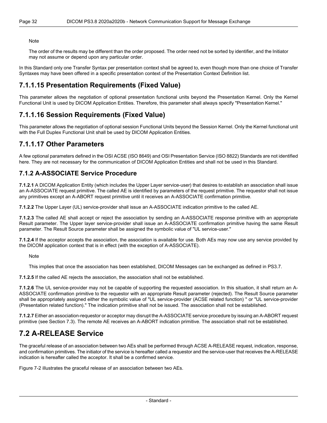The order of the results may be different than the order proposed. The order need not be sorted by identifier, and the Initiator may not assume or depend upon any particular order.

<span id="page-31-0"></span>In this Standard only one Transfer Syntax per presentation context shall be agreed to, even though more than one choice of Transfer Syntaxes may have been offered in a specific presentation context of the Presentation Context Definition list.

### **7.1.1.15 Presentation Requirements (Fixed Value)**

<span id="page-31-1"></span>This parameter allows the negotiation of optional presentation functional units beyond the Presentation Kernel. Only the Kernel Functional Unit is used by DICOM Application Entities. Therefore, this parameter shall always specify "Presentation Kernel."

### **7.1.1.16 Session Requirements (Fixed Value)**

<span id="page-31-2"></span>This parameter allows the negotiation of optional session Functional Units beyond the Session Kernel. Only the Kernel functional unit with the Full Duplex Functional Unit shall be used by DICOM Application Entities.

#### **7.1.1.17 Other Parameters**

<span id="page-31-3"></span>A few optional parameters defined in the OSI ACSE (ISO 8649) and OSI Presentation Service (ISO 8822) Standards are not identified here. They are not necessary for the communication of DICOM Application Entities and shall not be used in this Standard.

#### **7.1.2 A-ASSOCIATE Service Procedure**

**7.1.2.1** A DICOM Application Entity (which includes the Upper Layer service-user) that desires to establish an association shall issue an A-ASSOCIATE request primitive. The called AE is identified by parameters of the request primitive. The requestor shall not issue any primitives except an A-ABORT request primitive until it receives an A-ASSOCIATE confirmation primitive.

**7.1.2.2** The Upper Layer (UL) service-provider shall issue an A-ASSOCIATE indication primitive to the called AE.

**7.1.2.3** The called AE shall accept or reject the association by sending an A-ASSOCIATE response primitive with an appropriate Result parameter. The Upper layer service-provider shall issue an A-ASSOCIATE confirmation primitive having the same Result parameter. The Result Source parameter shall be assigned the symbolic value of "UL service-user."

**7.1.2.4** If the acceptor accepts the association, the association is available for use. Both AEs may now use any service provided by the DICOM application context that is in effect (with the exception of A-ASSOCIATE).

Note

This implies that once the association has been established, DICOM Messages can be exchanged as defined in [PS3.7.](part07.pdf#PS3.7)

**7.1.2.5** If the called AE rejects the association, the association shall not be established.

<span id="page-31-4"></span>**7.1.2.6** The UL service-provider may not be capable of supporting the requested association. In this situation, it shall return an A- ASSOCIATE confirmation primitive to the requestor with an appropriate Result parameter (rejected). The Result Source parameter shall be appropriately assigned either the symbolic value of "UL service-provider (ACSE related function) " or "UL service-provider (Presentation related function)." The indication primitive shall not be issued. The association shall not be established.

**7.1.2.7** Either an association-requestor or acceptor may disrupt the A-ASSOCIATE service procedure by issuing an A-ABORT request primitive (see [Section](#page-33-0) 7.3). The remote AE receives an A-ABORT indication primitive. The association shall not be established.

## **7.2 A-RELEASE Service**

The graceful release of an association between two AEs shall be performed through ACSE A-RELEASE request, indication, response, and confirmation primitives. The initiator of the service is hereafter called a requestor and the service-user that receives the A-RELEASE indication is hereafter called the acceptor. It shall be a confirmed service.

[Figure](#page-32-4) 7-2 illustrates the graceful release of an association between two AEs.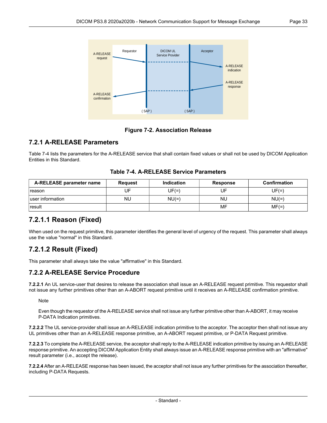<span id="page-32-4"></span>

**Figure 7-2. Association Release**

#### <span id="page-32-0"></span>**7.2.1 A-RELEASE Parameters**

<span id="page-32-5"></span>[Table](#page-32-5) 7-4 lists the parameters for the A-RELEASE service that shall contain fixed values or shall not be used by DICOM Application Entities in this Standard.

<span id="page-32-1"></span>

| A-RELEASE parameter name | Request | <b>Indication</b> | <b>Response</b> | <b>Confirmation</b> |
|--------------------------|---------|-------------------|-----------------|---------------------|
| reason                   | UF      | $UF(=)$           | UF              | UF(=)               |
| luser information        | NU      | $NU(=)$           | NU              | $NU(=)$             |
| result                   |         |                   | MF              | $MF(=)$             |

#### **Table 7-4. A-RELEASE Service Parameters**

### <span id="page-32-2"></span>**7.2.1.1 Reason (Fixed)**

When used on the request primitive, this parameter identifies the general level of urgency of the request. This parameter shall always use the value "normal" in this Standard.

## <span id="page-32-3"></span>**7.2.1.2 Result (Fixed)**

This parameter shall always take the value "affirmative" in this Standard.

#### **7.2.2 A-RELEASE Service Procedure**

**7.2.2.1** An UL service-user that desires to release the association shall issue an A-RELEASE request primitive. This requestor shall not issue any further primitives other than an A-ABORT request primitive until it receives an A-RELEASE confirmation primitive.

**Note** 

Even though the requestor of the A-RELEASE service shall not issue any further primitive other than A-ABORT, it may receive P-DATA Indication primitives.

**7.2.2.2** The UL service-provider shall issue an A-RELEASE indication primitive to the acceptor. The acceptor then shall not issue any UL primitives other than an A-RELEASE response primitive, an A-ABORT request primitive, or P-DATA Request primitive.

**7.2.2.3** To complete the A-RELEASE service, the acceptor shall reply to the A-RELEASE indication primitive by issuing an A-RELEASE response primitive. An accepting DICOM Application Entity shall always issue an A-RELEASE response primitive with an "affirmative" result parameter (i.e., accept the release).

**7.2.2.4** After an A-RELEASE response has been issued, the acceptor shall not issue any further primitives for the association thereafter, including P-DATA Requests.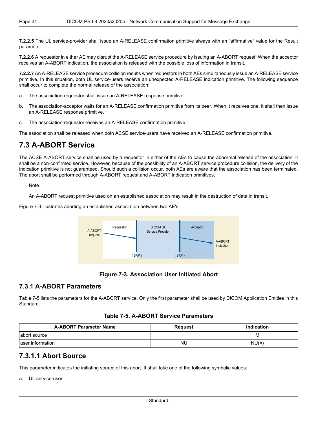**7.2.2.5** The UL service-provider shall issue an A-RELEASE confirmation primitive always with an "affirmative" value for the Result parameter.

**7.2.2.6** A requestor in either AE may disrupt the A-RELEASE service procedure by issuing an A-ABORT request. When the acceptor receives an A-ABORT indication, the association is released with the possible loss of information in transit.

**7.2.2.7** An A-RELEASE service procedure collision results when requestors in both AEs simultaneously issue an A-RELEASE service primitive. In this situation, both UL service-users receive an unexpected A-RELEASE indication primitive. The following sequence shall occur to complete the normal release of the association:

- a. The association-requestor shall issue an A-RELEASE response primitive.
- b. The association-acceptor waits for an A-RELEASE confirmation primitive from its peer. When it receives one, it shall then issue an A-RELEASE response primitive.
- <span id="page-33-0"></span>c. The association-requestor receives an A-RELEASE confirmation primitive.

The association shall be released when both ACSE service-users have received an A-RELEASE confirmation primitive.

### **7.3 A-ABORT Service**

The ACSE A-ABORT service shall be used by a requestor in either of the AEs to cause the abnormal release of the association. It shall be a non-confirmed service. However, because of the possibility of an A-ABORT service procedure collision, the delivery of the indication primitive is not guaranteed. Should such a collision occur, both AEs are aware that the association has been terminated. The abort shall be performed through A-ABORT request and A-ABORT indication primitives.

**Note** 

An A-ABORT request primitive used on an established association may result in the destruction of data in transit.

<span id="page-33-3"></span>[Figure](#page-33-3) 7-3 illustrates aborting an established association between two AE's.



#### **Figure 7-3. Association User Initiated Abort**

#### <span id="page-33-4"></span><span id="page-33-1"></span>**7.3.1 A-ABORT Parameters**

[Table](#page-33-4) 7-5 lists the parameters for the A-ABORT service. Only the first parameter shall be used by DICOM Application Entities in this Standard.

#### **Table 7-5. A-ABORT Service Parameters**

<span id="page-33-2"></span>

| <b>A-ABORT Parameter Name</b> | Request   | <b>Indication</b> |
|-------------------------------|-----------|-------------------|
| abort source                  |           | M                 |
| luser information             | <b>NU</b> | $NU(=)$           |

#### **7.3.1.1 Abort Source**

This parameter indicates the initiating source of this abort. It shall take one of the following symbolic values:

a. UL service-user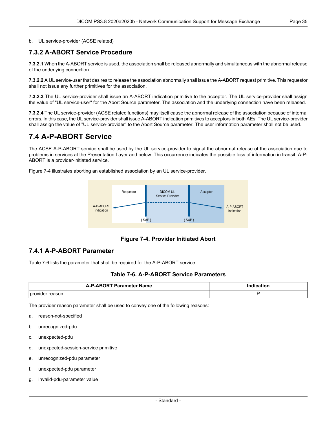#### <span id="page-34-0"></span>b. UL service-provider (ACSE related)

#### **7.3.2 A-ABORT Service Procedure**

**7.3.2.1** When the A-ABORT service is used, the association shall be released abnormally and simultaneous with the abnormal release of the underlying connection.

**7.3.2.2** A UL service-user that desires to release the association abnormally shall issue the A-ABORT request primitive. This requestor shall not issue any further primitives for the association.

**7.3.2.3** The UL service-provider shall issue an A-ABORT indication primitive to the acceptor. The UL service-provider shall assign the value of "UL service-user" for the Abort Source parameter. The association and the underlying connection have been released.

<span id="page-34-1"></span>**7.3.2.4** The UL service-provider (ACSE related functions) may itself cause the abnormal release of the association because of internal errors. In this case, the UL service-provider shall issue A-ABORT indication primitives to acceptors in both AEs. The UL service-provider shall assign the value of "UL service-provider" to the Abort Source parameter. The user information parameter shall not be used.

### **7.4 A-P-ABORT Service**

The ACSE A-P-ABORT service shall be used by the UL service-provider to signal the abnormal release of the association due to problems in services at the Presentation Layer and below. This occurrence indicates the possible loss of information in transit. A-P- ABORT is a provider-initiated service.

<span id="page-34-3"></span>[Figure](#page-34-3) 7-4 illustrates aborting an established association by an UL service-provider.



**Figure 7-4. Provider Initiated Abort**

#### <span id="page-34-4"></span><span id="page-34-2"></span>**7.4.1 A-P-ABORT Parameter**

[Table](#page-34-4) 7-6 lists the parameter that shall be required for the A-P-ABORT service.

#### **Table 7-6. A-P-ABORT Service Parameters**

| <b>A-P-ARORT Parameter Name</b> | ------ |  |
|---------------------------------|--------|--|
|                                 |        |  |
|                                 |        |  |
| provi<br>asor<br>$  -$          |        |  |

The provider reason parameter shall be used to convey one of the following reasons:

- a. reason-not-specified
- b. unrecognized-pdu
- c. unexpected-pdu
- d. unexpected-session-service primitive
- e. unrecognized-pdu parameter
- f. unexpected-pdu parameter
- g. invalid-pdu-parameter value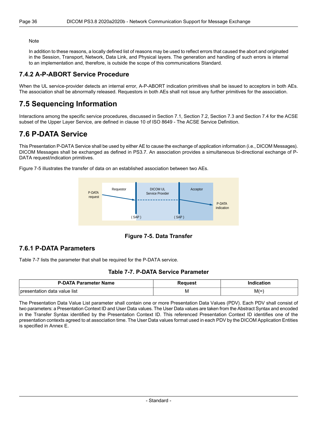In addition to these reasons, a locally defined list of reasons may be used to reflect errors that caused the abort and originated in the Session, Transport, Network, Data Link, and Physical layers. The generation and handling of such errors is internal to an implementation and, therefore, is outside the scope of this communications Standard.

#### <span id="page-35-0"></span>**7.4.2 A-P-ABORT Service Procedure**

<span id="page-35-1"></span>When the UL service-provider detects an internal error, A-P-ABORT indication primitives shall be issued to acceptors in both AEs. The association shall be abnormally released. Requestors in both AEs shall not issue any further primitives for the association.

## **7.5 Sequencing Information**

<span id="page-35-2"></span>Interactions among the specific service procedures, discussed in [Section](#page-26-1) 7.1, [Section](#page-31-4) 7.2, [Section](#page-33-0) 7.3 and [Section](#page-34-1) 7.4 for the ACSE subset of the Upper Layer Service, are defined in clause 10 of ISO 8649 - The ACSE Service Definition.

## **7.6 P-DATA Service**

This Presentation P-DATA Service shall be used by either AE to cause the exchange of application information (i.e., DICOM Messages). DICOM Messages shall be exchanged as defined in [PS3.7.](part07.pdf#PS3.7) An association provides a simultaneous bi-directional exchange of P- DATA request/indication primitives.

<span id="page-35-4"></span>[Figure](#page-35-4) 7-5 illustrates the transfer of data on an established association between two AEs.



**Figure 7-5. Data Transfer**

#### <span id="page-35-5"></span><span id="page-35-3"></span>**7.6.1 P-DATA Parameters**

[Table](#page-35-5) 7-7 lists the parameter that shall be required for the P-DATA service.

#### **Table 7-7. P-DATA Service Parameter**

| <b>P-DATA Parameter Name</b>                 | sanes. |                  |
|----------------------------------------------|--------|------------------|
| value list<br><b>I</b> presentation<br>≞data | ΙM     | $M(=)$<br>$\sim$ |

The Presentation Data Value List parameter shall contain one or more Presentation Data Values (PDV). Each PDV shall consist of two parameters: a Presentation Context ID and User Data values. The User Data values are taken from the Abstract Syntax and encoded in the Transfer Syntax identified by the Presentation Context ID. This referenced Presentation Context ID identifies one of the presentation contexts agreed to at association time. The User Data values format used in each PDV by the DICOM Application Entities is specified in [Annex](#page-66-0) E.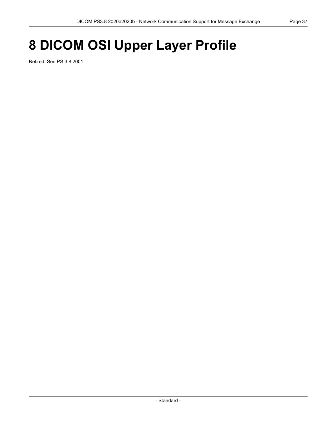# **8 DICOM OSI Upper Layer Profile**

Retired. See PS 3.8 2001.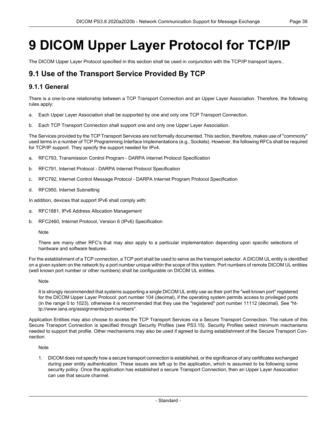# **9 DICOM Upper Layer Protocol for TCP/IP**

The DICOM Upper Layer Protocol specified in this section shall be used in conjunction with the TCP/IP transport layers..

# **9.1 Use of the Transport Service Provided By TCP**

## **9.1.1 General**

There is a one-to-one relationship between a TCP Transport Connection and an Upper Layer Association. Therefore, the following rules apply:

- a. Each Upper Layer Association shall be supported by one and only one TCP Transport Connection.
- b. Each TCP Transport Connection shall support one and only one Upper Layer Association.

The Services provided by the TCP Transport Services are not formally documented. This section, therefore, makes use of "commonly" used terms in a number of TCP Programming Interface Implementations (e.g., Sockets). However, the following RFCs shall be required for TCP/IP support. They specify the support needed for IPv4.

- a. RFC793, Transmission Control Program DARPA Internet Protocol Specification
- b. RFC791, Internet Protocol DARPA Internet Protocol Specification
- c. RFC792, Internet Control Message Protocol DARPA Internet Program Protocol Specification
- d. RFC950, Internet Subnetting

In addition, devices that support IPv6 shall comply with:

- a. RFC1881, IPv6 Address Allocation Management
- b. RFC2460, Internet Protocol, Version 6 (IPv6) Specification

#### Note

There are many other RFC's that may also apply to a particular implementation depending upon specific selections of hardware and software features.

For the establishment of a TCP connection, a TCP port shall be used to serve as the transport selector. A DICOM UL entity is identified on a given system on the network by a port number unique within the scope of this system. Port numbers of remote DICOM UL entities (well known port number or other numbers) shall be configurable on DICOM UL entities.

#### **Note**

It is strongly recommended that systems supporting a single DICOM UL entity use as their port the "well known port" registered for the DICOM Upper Layer Protocol: port number 104 (decimal), if the operating system permits access to privileged ports (in the range 0 to 1023), otherwise it is recommended that they use the "registered" port number 11112 (decimal). See "ht tp://www.iana.org/assignments/port-numbers".

Application Entities may also choose to access the TCP Transport Services via a Secure Transport Connection. The nature of this Secure Transport Connection is specified through Security Profiles (see [PS3.15](part15.pdf#PS3.15)). Security Profiles select minimum mechanisms needed to support that profile. Other mechanisms may also be used if agreed to during establishment of the Secure Transport Con nection.

#### Note

1. DICOM does not specify how a secure transport connection is established, or the significance of any certificates exchanged during peer entity authentication. These issues are left up to the application, which is assumed to be following some security policy. Once the application has established a secure Transport Connection, then an Upper Layer Association can use that secure channel.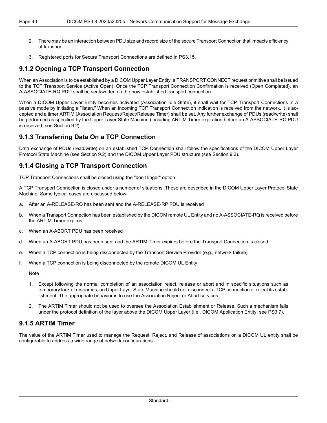- 2. There may be an interaction between PDU size and record size of the secure Transport Connection that impacts efficiency of transport.
- 3. Registered ports for Secure Transport Connections are defined in [PS3.15](part15.pdf#PS3.15).

## **9.1.2 Opening a TCP Transport Connection**

When an Association is to be established by a DICOM Upper Layer Entity, a TRANSPORT CONNECT request primitive shall be issued to the TCP Transport Service (Active Open). Once the TCP Transport Connection Confirmation is received (Open Completed), an A-ASSOCIATE-RQ PDU shall be sent/written on the now established transport connection.

When a DICOM Upper Layer Entity becomes activated (Association Idle State), it shall wait for TCP Transport Connections in a passive mode by initiating a "listen." When an incoming TCP Transport Connection Indication is received from the network, it is ac cepted and a timer ARTIM (Association Request/Reject/Release Timer) shall be set. Any further exchange of PDUs (read/write) shall be performed as specified by the Upper Layer State Machine (including ARTIM Timer expiration before an A-ASSOCIATE-RQ PDU is received, see [Section](#page-40-0) 9.2).

## **9.1.3 Transferring Data On a TCP Connection**

Data exchange of PDUs (read/write) on an established TCP Connection shall follow the specifications of the DICOM Upper Layer Protocol State Machine (see [Section](#page-40-0) 9.2) and the DICOM Upper Layer PDU structure (see [Section](#page-44-0) 9.3).

## **9.1.4 Closing a TCP Transport Connection**

TCP Transport Connections shall be closed using the "don't linger" option.

A TCP Transport Connection is closed under a number of situations. These are described in the DICOM Upper Layer Protocol State Machine. Some typical cases are discussed below:

- a. After an A-RELEASE-RQ has been sent and the A-RELEASE-RP PDU is received
- b. When a Transport Connection has been established by the DICOM remote UL Entity and no A-ASSOCIATE-RQ is received before the ARTIM Timer expires
- c. When an A-ABORT PDU has been received
- d. When an A-ABORT PDU has been sent and the ARTIM Timer expires before the Transport Connection is closed
- e. When a TCP connection is being disconnected by the Transport Service Provider (e.g., network failure)
- f. When a TCP connection is being disconnected by the remote DICOM UL Entity

**Note** 

- 1. Except following the normal completion of an association reject, release or abort and in specific situations such as temporary lack of resources, an Upper Layer State Machine should not disconnect a TCP connection or reject its estab lishment. The appropriate behavior is to use the Association Reject or Abort services.
- 2. The ARTIM Timer should not be used to oversee the Association Establishment or Release. Such a mechanism falls under the protocol definition of the layer above the DICOM Upper Layer (i.e., DICOM Application Entity, see [PS3.7\)](part07.pdf#PS3.7).

## **9.1.5 ARTIM Timer**

The value of the ARTIM Timer used to manage the Request, Reject, and Release of associations on a DICOM UL entity shall be configurable to address a wide range of network configurations.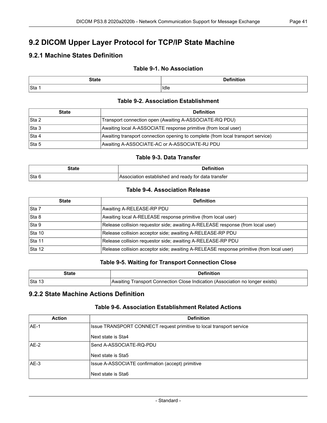# <span id="page-40-0"></span>**9.2 DICOM Upper Layer Protocol for TCP/IP State Machine**

# **9.2.1 Machine States Definition**

### **Table 9-1. No Association**

| <b>State</b> | .<br>--- |
|--------------|----------|
| Sta          | Idle     |

#### **Table 9-2. Association Establishment**

| <b>State</b> | <b>Definition</b>                                                                |  |  |  |  |  |  |  |
|--------------|----------------------------------------------------------------------------------|--|--|--|--|--|--|--|
| Sta 2        | Transport connection open (Awaiting A-ASSOCIATE-RQ PDU)                          |  |  |  |  |  |  |  |
| Sta 3        | Awaiting local A-ASSOCIATE response primitive (from local user)                  |  |  |  |  |  |  |  |
| Sta 4        | Awaiting transport connection opening to complete (from local transport service) |  |  |  |  |  |  |  |
| Sta 5        | Awaiting A-ASSOCIATE-AC or A-ASSOCIATE-RJ PDU                                    |  |  |  |  |  |  |  |

#### **Table 9-3. Data Transfer**

| State  | <b>Definition</b>                                   |
|--------|-----------------------------------------------------|
| ∣Sta 6 | Association established and ready for data transfer |

#### **Table 9-4. Association Release**

| <b>State</b> | <b>Definition</b>                                                                        |
|--------------|------------------------------------------------------------------------------------------|
| Sta 7        | Awaiting A-RELEASE-RP PDU                                                                |
| Sta 8        | Awaiting local A-RELEASE response primitive (from local user)                            |
| Sta 9        | Release collision requestor side; awaiting A-RELEASE response (from local user)          |
| Sta 10       | Release collision acceptor side; awaiting A-RELEASE-RP PDU                               |
| Sta 11       | Release collision requestor side; awaiting A-RELEASE-RP PDU                              |
| Sta 12       | Release collision acceptor side; awaiting A-RELEASE response primitive (from local user) |

#### **Table 9-5. Waiting for Transport Connection Close**

| State  | <b>Definition</b>                                                             |  |  |  |  |  |  |  |
|--------|-------------------------------------------------------------------------------|--|--|--|--|--|--|--|
| Sta 13 | Awaiting Transport Connection Close Indication (Association no longer exists) |  |  |  |  |  |  |  |

## **9.2.2 State Machine Actions Definition**

### **Table 9-6. Association Establishment Related Actions**

| <b>Action</b> | <b>Definition</b>                                                    |  |  |  |  |  |
|---------------|----------------------------------------------------------------------|--|--|--|--|--|
| AE-1          | Issue TRANSPORT CONNECT request primitive to local transport service |  |  |  |  |  |
|               | Next state is Sta4                                                   |  |  |  |  |  |
| AE-2          | Send A-ASSOCIATE-RQ-PDU                                              |  |  |  |  |  |
|               | Next state is Sta5                                                   |  |  |  |  |  |
| IAE-3         | Issue A-ASSOCIATE confirmation (accept) primitive                    |  |  |  |  |  |
|               | Next state is Sta6                                                   |  |  |  |  |  |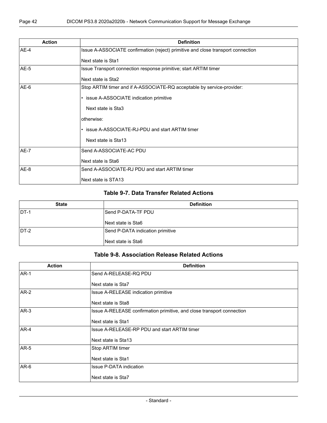| <b>Action</b> | <b>Definition</b>                                                                |  |  |  |  |  |
|---------------|----------------------------------------------------------------------------------|--|--|--|--|--|
| $AE-4$        | Issue A-ASSOCIATE confirmation (reject) primitive and close transport connection |  |  |  |  |  |
|               | Next state is Sta1                                                               |  |  |  |  |  |
| AE-5          | Issue Transport connection response primitive; start ARTIM timer                 |  |  |  |  |  |
|               | Next state is Sta2                                                               |  |  |  |  |  |
| $AE-6$        | Stop ARTIM timer and if A-ASSOCIATE-RQ acceptable by service-provider:           |  |  |  |  |  |
|               | • issue A-ASSOCIATE indication primitive                                         |  |  |  |  |  |
|               | Next state is Sta3                                                               |  |  |  |  |  |
|               | otherwise:                                                                       |  |  |  |  |  |
|               | • issue A-ASSOCIATE-RJ-PDU and start ARTIM timer                                 |  |  |  |  |  |
|               | Next state is Sta13                                                              |  |  |  |  |  |
| AE-7          | Send A-ASSOCIATE-AC PDU                                                          |  |  |  |  |  |
|               | Next state is Sta6                                                               |  |  |  |  |  |
| AE-8          | Send A-ASSOCIATE-RJ PDU and start ARTIM timer                                    |  |  |  |  |  |
|               | Next state is STA13                                                              |  |  |  |  |  |

### **Table 9-7. Data Transfer Related Actions**

| <b>State</b> | <b>Definition</b>                |
|--------------|----------------------------------|
| IDT-1        | Send P-DATA-TF PDU               |
|              | Next state is Sta6               |
| $DT-2$       | Send P-DATA indication primitive |
|              | Next state is Sta6               |

#### **Table 9-8. Association Release Related Actions**

| <b>Action</b> | <b>Definition</b>                                                      |  |  |  |  |  |  |  |
|---------------|------------------------------------------------------------------------|--|--|--|--|--|--|--|
| <b>AR-1</b>   | Send A-RELEASE-RQ PDU                                                  |  |  |  |  |  |  |  |
|               | Next state is Sta7                                                     |  |  |  |  |  |  |  |
| $AR-2$        | Issue A-RELEASE indication primitive                                   |  |  |  |  |  |  |  |
|               | Next state is Sta8                                                     |  |  |  |  |  |  |  |
| $AR-3$        | Issue A-RELEASE confirmation primitive, and close transport connection |  |  |  |  |  |  |  |
|               | Next state is Sta1                                                     |  |  |  |  |  |  |  |
| $AR-4$        | Issue A-RELEASE-RP PDU and start ARTIM timer                           |  |  |  |  |  |  |  |
|               | Next state is Sta13                                                    |  |  |  |  |  |  |  |
| <b>AR-5</b>   | Stop ARTIM timer                                                       |  |  |  |  |  |  |  |
|               | Next state is Sta1                                                     |  |  |  |  |  |  |  |
| $AR-6$        | <b>Issue P-DATA indication</b>                                         |  |  |  |  |  |  |  |
|               | Next state is Sta7                                                     |  |  |  |  |  |  |  |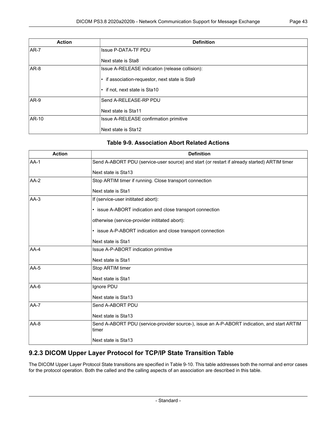| <b>Action</b> | <b>Definition</b>                               |  |  |  |  |  |
|---------------|-------------------------------------------------|--|--|--|--|--|
| $AR-7$        | <b>Issue P-DATA-TF PDU</b>                      |  |  |  |  |  |
|               | Next state is Sta8                              |  |  |  |  |  |
| $AR-8$        | Issue A-RELEASE indication (release collision): |  |  |  |  |  |
|               | • if association-requestor, next state is Sta9  |  |  |  |  |  |
|               | • if not, next state is Sta10                   |  |  |  |  |  |
| $AR-9$        | Send A-RELEASE-RP PDU                           |  |  |  |  |  |
|               | Next state is Sta11                             |  |  |  |  |  |
| AR-10         | Issue A-RELEASE confirmation primitive          |  |  |  |  |  |
|               | Next state is Sta12                             |  |  |  |  |  |

### **Table 9-9. Association Abort Related Actions**

| <b>Action</b> | <b>Definition</b>                                                                                    |  |  |  |  |  |  |  |  |
|---------------|------------------------------------------------------------------------------------------------------|--|--|--|--|--|--|--|--|
| $AA-1$        | Send A-ABORT PDU (service-user source) and start (or restart if already started) ARTIM timer         |  |  |  |  |  |  |  |  |
|               | Next state is Sta13                                                                                  |  |  |  |  |  |  |  |  |
| $AA-2$        | Stop ARTIM timer if running. Close transport connection                                              |  |  |  |  |  |  |  |  |
|               | Next state is Sta1                                                                                   |  |  |  |  |  |  |  |  |
| AA-3          | If (service-user inititated abort):                                                                  |  |  |  |  |  |  |  |  |
|               | • issue A-ABORT indication and close transport connection                                            |  |  |  |  |  |  |  |  |
|               | otherwise (service-provider inititated abort):                                                       |  |  |  |  |  |  |  |  |
|               | • issue A-P-ABORT indication and close transport connection                                          |  |  |  |  |  |  |  |  |
|               | Next state is Sta1                                                                                   |  |  |  |  |  |  |  |  |
| $AA-4$        | Issue A-P-ABORT indication primitive                                                                 |  |  |  |  |  |  |  |  |
|               | Next state is Sta1                                                                                   |  |  |  |  |  |  |  |  |
| $AA-5$        | Stop ARTIM timer                                                                                     |  |  |  |  |  |  |  |  |
|               | Next state is Sta1                                                                                   |  |  |  |  |  |  |  |  |
| AA-6          | Ignore PDU                                                                                           |  |  |  |  |  |  |  |  |
|               | Next state is Sta13                                                                                  |  |  |  |  |  |  |  |  |
| $AA-7$        | Send A-ABORT PDU                                                                                     |  |  |  |  |  |  |  |  |
|               | Next state is Sta13                                                                                  |  |  |  |  |  |  |  |  |
| $AA-8$        | Send A-ABORT PDU (service-provider source-), issue an A-P-ABORT indication, and start ARTIM<br>timer |  |  |  |  |  |  |  |  |
|               | Next state is Sta13                                                                                  |  |  |  |  |  |  |  |  |

# **9.2.3 DICOM Upper Layer Protocol for TCP/IP State Transition Table**

The DICOM Upper Layer Protocol State transitions are specified in [Table](#page-43-0) 9-10. This table addresses both the normal and error cases for the protocol operation. Both the called and the calling aspects of an association are described in this table.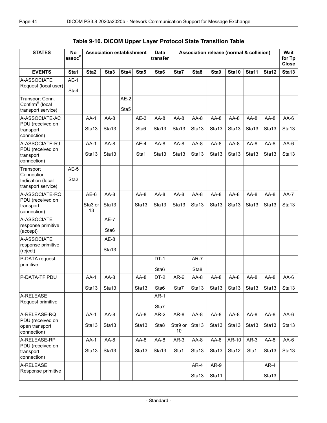## **Table 9-10. DICOM Upper Layer Protocol State Transition Table**

<span id="page-43-0"></span>

| <b>STATES</b>                                                        | <b>No</b><br>$\mathsf{assoc}^{\mathsf{n}}$ | <b>Association establishment</b> |                             |                |                            | <b>Data</b><br>transfer    | Association release (normal & collision) |                             |                             |                             |                             | Wait<br>for Tp<br><b>Close</b> |               |
|----------------------------------------------------------------------|--------------------------------------------|----------------------------------|-----------------------------|----------------|----------------------------|----------------------------|------------------------------------------|-----------------------------|-----------------------------|-----------------------------|-----------------------------|--------------------------------|---------------|
| <b>EVENTS</b>                                                        | Sta1                                       | Sta2                             | Sta3                        | Sta4           | Sta5                       | Sta6                       | Sta7                                     | Sta8                        | Sta9                        | Sta10                       | Sta11                       | Sta12                          | Sta13         |
| A-ASSOCIATE<br>Request (local user)                                  | $AE-1$<br>Sta4                             |                                  |                             |                |                            |                            |                                          |                             |                             |                             |                             |                                |               |
| Transport Conn.<br>Confirm <sup>n</sup> (local<br>transport service) |                                            |                                  |                             | $AE-2$<br>Sta5 |                            |                            |                                          |                             |                             |                             |                             |                                |               |
| A-ASSOCIATE-AC<br>PDU (received on<br>transport<br>connection)       |                                            | $AA-1$<br>Sta <sub>13</sub>      | $AA-8$<br>Sta <sub>13</sub> |                | $AE-3$<br>Sta <sub>6</sub> | AA-8<br>Sta <sub>13</sub>  | $AA-8$<br>Sta <sub>13</sub>              | $AA-8$<br>Sta <sub>13</sub> | $AA-8$<br>Sta <sub>13</sub> | $AA-8$<br>Sta <sub>13</sub> | $AA-8$<br>Sta <sub>13</sub> | $AA-8$<br>Sta <sub>13</sub>    | AA-6<br>Sta13 |
| A-ASSOCIATE-RJ<br>PDU (received on<br>transport<br>connection)       |                                            | $AA-1$<br>Sta13                  | $AA-8$<br>Sta13             |                | $AE-4$<br>Sta1             | $AA-8$<br>Sta13            | $AA-8$<br>Sta13                          | $AA-8$<br>Sta13             | AA-8<br>Sta13               | $AA-8$<br>Sta13             | $AA-8$<br>Sta13             | $AA-8$<br>Sta13                | AA-6<br>Sta13 |
| Transport<br>Connection<br>Indication (local<br>transport service)   | $AE-5$<br>Sta <sub>2</sub>                 |                                  |                             |                |                            |                            |                                          |                             |                             |                             |                             |                                |               |
| A-ASSOCIATE-RQ<br>PDU (received on<br>transport<br>connection)       |                                            | $AE-6$<br>Sta3 or<br>13          | $AA-8$<br>Sta13             |                | $AA-8$<br>Sta13            | $AA-8$<br>Sta13            | $AA-8$<br>Sta13                          | $AA-8$<br>Sta13             | $AA-8$<br>Sta13             | $AA-8$<br>Sta13             | $AA-8$<br>Sta13             | $AA-8$<br>Sta13                | AA-7<br>Sta13 |
| A-ASSOCIATE<br>response primitive<br>(accept)                        |                                            |                                  | $AE-7$<br>Sta <sub>6</sub>  |                |                            |                            |                                          |                             |                             |                             |                             |                                |               |
| A-ASSOCIATE<br>response primitive<br>(reject)                        |                                            |                                  | $AE-8$<br>Sta <sub>13</sub> |                |                            |                            |                                          |                             |                             |                             |                             |                                |               |
| P-DATA request<br>primitive                                          |                                            |                                  |                             |                |                            | $DT-1$<br>Sta <sub>6</sub> |                                          | $AR-7$<br>Sta8              |                             |                             |                             |                                |               |
| P-DATA-TF PDU                                                        |                                            | $AA-1$<br>Sta13 $ $              | $AA-8$<br>Sta13             |                | AA-8<br>Sta13              | DT-2<br>Sta6               | $AR-6$<br>Sta7                           | $AA-8$<br>Sta13             | $AA-8$<br>Sta13             | $AA-8$<br>Sta13             | $AA-8$<br>Sta13             | $AA-8$<br>Sta13                | AA-6<br>Sta13 |
| A-RELEASE<br>Request primitive                                       |                                            |                                  |                             |                |                            | $AR-1$<br>Sta7             |                                          |                             |                             |                             |                             |                                |               |
| A-RELEASE-RQ<br>PDU (received on<br>open transport<br>connection)    |                                            | $AA-1$<br>Sta13                  | $AA-8$<br>Sta13             |                | AA-8<br>Sta13              | $AR-2$<br>Sta8             | AR-8<br>Sta9 or<br>10                    | $AA-8$<br>Sta13             | $AA-8$<br>Sta13             | AA-8<br>Sta13               | $AA-8$<br>Sta13             | AA-8<br>Sta13                  | AA-6<br>Sta13 |
| A-RELEASE-RP<br>PDU (received on<br>transport<br>connection)         |                                            | $AA-1$<br>Sta13                  | $AA-8$<br>Sta13             |                | AA-8<br>Sta13              | AA-8<br>Sta13              | $AR-3$<br>Sta1                           | AA-8<br>Sta13               | AA-8<br>Sta13               | AR-10<br>Sta12              | $AR-3$<br>Sta1              | AA-8<br>Sta13                  | AA-6<br>Sta13 |
| A-RELEASE<br>Response primitive                                      |                                            |                                  |                             |                |                            |                            |                                          | $AR-4$<br>Sta13             | $AR-9$<br>Sta11             |                             |                             | AR-4<br>Sta13                  |               |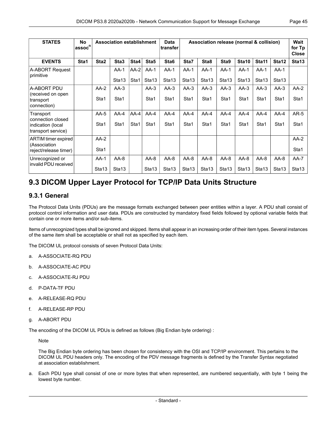| <b>STATES</b>                           | <b>No</b><br>$^{\shortmid}$ assoc $^{\mathsf{n}}$ i |                   | <b>Association establishment</b> |        |                   | Data<br>transfer  |        | Association release (normal & collision) |                   |                   |                   |                   | <b>Wait</b><br>for Tp<br><b>Close</b> |
|-----------------------------------------|-----------------------------------------------------|-------------------|----------------------------------|--------|-------------------|-------------------|--------|------------------------------------------|-------------------|-------------------|-------------------|-------------------|---------------------------------------|
| <b>EVENTS</b>                           | Sta1                                                | Sta <sub>2</sub>  | Sta <sub>3</sub>                 | Sta4   | Sta5              | Sta <sub>6</sub>  | Sta7   | Sta8                                     | Sta9              | Sta10             | Sta11             | Sta12             | Sta <sub>13</sub>                     |
| A-ABORT Request<br>primitive            |                                                     |                   | $AA-1$                           | $AA-2$ | $AA-1$            | $AA-1$            | $AA-1$ | $AA-1$                                   | $AA-1$            | $AA-1$            | $AA-1$            | $AA-1$            |                                       |
|                                         |                                                     |                   | Sta <sub>13</sub>                | Sta1   | Sta <sub>13</sub> | Sta <sub>13</sub> | Sta13  | Sta <sub>13</sub>                        | Sta <sub>13</sub> | Sta <sub>13</sub> | Sta <sub>13</sub> | Sta <sub>13</sub> |                                       |
| A-ABORT PDU<br>(received on open)       |                                                     | $AA-2$            | $AA-3$                           |        | $AA-3$            | $AA-3$            | $AA-3$ | $AA-3$                                   | $AA-3$            | $AA-3$            | $AA-3$            | $AA-3$            | $AA-2$                                |
| transport<br>connection)                |                                                     | Sta1              | Sta1                             |        | Sta1              | Sta1              | Sta1   | Sta1                                     | Sta1              | Sta1              | Sta1              | Sta1              | Sta1                                  |
| Transport<br>connection closed          |                                                     | $AA-5$            | $AA-4$                           | $AA-4$ | $AA-4$            | $AA-4$            | $AA-4$ | $AA-4$                                   | $AA-4$            | $AA-4$            | $AA-4$            | $AA-4$            | $AR-5$                                |
| indication (local<br>transport service) |                                                     | Sta1              | Sta1                             | Sta1   | Sta1              | Sta1              | Sta1   | Sta1                                     | Sta1              | Sta1              | Sta1              | Sta1              | Sta1                                  |
| ARTIM timer expired<br>(Association     |                                                     | $AA-2$            |                                  |        |                   |                   |        |                                          |                   |                   |                   |                   | $AA-2$                                |
| reject/release timer)                   |                                                     | Sta1              |                                  |        |                   |                   |        |                                          |                   |                   |                   |                   | Sta1                                  |
| Unrecognized or<br>invalid PDU received |                                                     | $AA-1$            | $AA-8$                           |        | $AA-8$            | $AA-8$            | $AA-8$ | $AA-8$                                   | $AA-8$            | $AA-8$            | $AA-8$            | $AA-8$            | $AA-7$                                |
|                                         |                                                     | Sta <sub>13</sub> | Sta <sub>13</sub>                |        | Sta <sub>13</sub> | Sta13             | Sta13  | Sta13                                    | Sta <sub>13</sub> | Sta <sub>13</sub> | Sta <sub>13</sub> | Sta <sub>13</sub> | Sta <sub>13</sub>                     |

# <span id="page-44-0"></span>**9.3 DICOM Upper Layer Protocol for TCP/IP Data Units Structure**

### **9.3.1 General**

The Protocol Data Units (PDUs) are the message formats exchanged between peer entities within a layer. A PDU shall consist of protocol control information and user data. PDUs are constructed by mandatory fixed fields followed by optional variable fields that contain one or more items and/or sub-items.

Items of unrecognized types shall be ignored and skipped. Items shall appear in an increasing order of their item types. Several instances of the same item shall be acceptable or shall not as specified by each item.

The DICOM UL protocol consists of seven Protocol Data Units:

- a. A-ASSOCIATE-RQ PDU
- b. A-ASSOCIATE-AC PDU
- c. A-ASSOCIATE-RJ PDU
- d. P-DATA-TF PDU
- e. A-RELEASE-RQ PDU
- f. A-RELEASE-RP PDU
- g. A-ABORT PDU

The encoding of the DICOM UL PDUs is defined as follows (Big Endian byte ordering) :

Note

The Big Endian byte ordering has been chosen for consistency with the OSI and TCP/IP environment. This pertains to the DICOM UL PDU headers only. The encoding of the PDV message fragments is defined by the Transfer Syntax negotiated at association establishment.

a. Each PDU type shall consist of one or more bytes that when represented, are numbered sequentially, with byte 1 being the lowest byte number.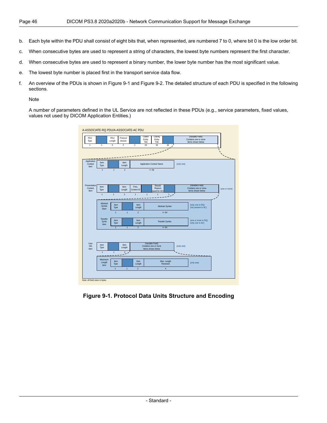- b. Each byte within the PDU shall consist of eight bits that, when represented, are numbered 7 to 0, where bit 0 is the low order bit.
- c. When consecutive bytes are used to represent a string of characters, the lowest byte numbers represent the first character.
- d. When consecutive bytes are used to represent a binary number, the lower byte number has the most significant value.
- e. The lowest byte number is placed first in the transport service data flow.
- f. An overview of the PDUs is shown in [Figure](#page-45-0) 9-1 and [Figure](#page-46-0) 9-2. The detailed structure of each PDU is specified in the following sections.

#### Note

<span id="page-45-0"></span>A number of parameters defined in the UL Service are not reflected in these PDUs (e.g., service parameters, fixed values, values not used by DICOM Application Entities.)

| PDU<br>Type<br>$\overline{1}$   | $\overline{1}$                 | PDU<br>Length<br>$\overline{4}$ | Protocol<br>Version<br>$\overline{2}$ | $\overline{2}$                        | Called<br>Calling<br>Entity<br>Entity<br>Title<br>Title<br>16<br>16           | 32                               |            | (Variable Field)<br>Contains one or more<br>Items shown below |                    |
|---------------------------------|--------------------------------|---------------------------------|---------------------------------------|---------------------------------------|-------------------------------------------------------------------------------|----------------------------------|------------|---------------------------------------------------------------|--------------------|
|                                 |                                |                                 |                                       |                                       |                                                                               | ◢                                |            |                                                               | ١<br>$\frac{1}{2}$ |
| Application<br>Context<br>Item  | Item<br>Type<br>$\overline{1}$ | $\overline{1}$                  | Item<br>Length<br>$\overline{2}$      |                                       | <b>Application Context Name</b><br>$= 64$                                     |                                  | (only one) |                                                               |                    |
| Presentation<br>Context<br>Item | Item<br>Type<br>$\overline{1}$ | $\mathbf{1}$                    | Item<br>Length<br>$\overline{2}$      | Pres.<br>Context ID<br>$\overline{1}$ | <b>Result/</b><br>Reason<br>(used for AC)<br>$\overline{1}$<br>$\overline{1}$ | $\mathbf{1}$                     |            | (Variable Field)<br>Contains one or more<br>Items shown below | (one or more)      |
|                                 | Abstract<br>Syntax<br>litem    | Item<br>Type<br>$\overline{1}$  | $\overline{1}$                        | Item<br>Length<br>$\overline{2}$      |                                                                               | <b>Abstract Syntax</b><br>$= 64$ |            | (only one in RQ)<br>(not present in AC)                       |                    |
|                                 | Transfer<br>Syntx<br>Item      | Item<br>Type<br>$\overline{1}$  | $\overline{1}$                        | Item<br>Length<br>$\overline{2}$      |                                                                               | <b>Transfer Syntax</b><br>$= 64$ |            | (one or more in RQ)<br>(only one in AC)                       |                    |
| User                            | Item                           |                                 | Item                                  |                                       | (Variable Field)                                                              |                                  |            |                                                               |                    |
| Info<br>Item                    | Type<br>$\overline{1}$         | $\overline{1}$                  | Length<br>$\overline{2}$              |                                       | Contains one or more<br>Items shown below                                     |                                  | (only one) |                                                               |                    |
|                                 | Maximum<br>Length<br>Item      | Item<br>Type                    |                                       | Item<br>Length                        |                                                                               | Max. Length<br>Received          |            | (only one)                                                    |                    |
|                                 |                                | $\overline{1}$                  | $\overline{1}$                        | $\overline{2}$                        |                                                                               | $\overline{4}$                   |            |                                                               |                    |

**Figure 9-1. Protocol Data Units Structure and Encoding**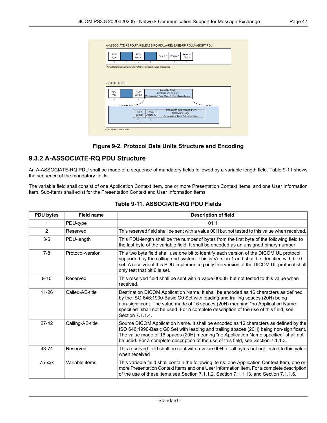<span id="page-46-0"></span>

| PDU<br>Type   |   | PDU<br>Length                                                             |            | Result*                                   | Source *                                         | Reason/<br>Diag <sup>*</sup> |  |  |
|---------------|---|---------------------------------------------------------------------------|------------|-------------------------------------------|--------------------------------------------------|------------------------------|--|--|
|               | 1 | 4                                                                         | 1          | 1                                         | 1                                                |                              |  |  |
|               |   | * Note: Depending on the specific PDU this field may be used or reserved. |            |                                           |                                                  |                              |  |  |
|               |   |                                                                           |            |                                           |                                                  |                              |  |  |
|               |   |                                                                           |            |                                           |                                                  |                              |  |  |
|               |   |                                                                           |            |                                           |                                                  |                              |  |  |
|               |   |                                                                           |            |                                           |                                                  |                              |  |  |
|               |   |                                                                           |            |                                           |                                                  |                              |  |  |
| P-DATA-TF PDU |   |                                                                           |            |                                           |                                                  |                              |  |  |
|               |   |                                                                           |            |                                           |                                                  |                              |  |  |
| PDU           |   | PDU                                                                       |            | (Variable Field)                          |                                                  |                              |  |  |
| Type          |   | Length                                                                    |            | Contains one or more                      |                                                  |                              |  |  |
| 1             | 1 | 4                                                                         |            | Presentation Data Value Items shown below |                                                  |                              |  |  |
|               |   |                                                                           |            |                                           |                                                  |                              |  |  |
|               |   |                                                                           |            |                                           |                                                  |                              |  |  |
|               |   |                                                                           |            |                                           |                                                  |                              |  |  |
|               |   | Item                                                                      | Pres.      |                                           | Presentation-data-Values (PDV)                   |                              |  |  |
|               |   | Length                                                                    | Context ID |                                           | DICOM message<br>Command or Data Set Information |                              |  |  |

#### **Figure 9-2. Protocol Data Units Structure and Encoding**

### **9.3.2 A-ASSOCIATE-RQ PDU Structure**

An A-ASSOCIATE-RQ PDU shall be made of a sequence of mandatory fields followed by a variable length field. [Table](#page-46-1) 9-11 shows the sequence of the mandatory fields.

<span id="page-46-1"></span>The variable field shall consist of one Application Context Item, one or more Presentation Context Items, and one User Information Item. Sub-Items shall exist for the Presentation Context and User Information Items.

| <b>PDU bytes</b> | <b>Field name</b> | <b>Description of field</b>                                                                                                                                                                                                                                                                                                                                           |
|------------------|-------------------|-----------------------------------------------------------------------------------------------------------------------------------------------------------------------------------------------------------------------------------------------------------------------------------------------------------------------------------------------------------------------|
|                  | PDU-type          | 01H                                                                                                                                                                                                                                                                                                                                                                   |
| $\overline{2}$   | Reserved          | This reserved field shall be sent with a value 00H but not tested to this value when received.                                                                                                                                                                                                                                                                        |
| $3-6$            | PDU-length        | This PDU-length shall be the number of bytes from the first byte of the following field to<br>the last byte of the variable field. It shall be encoded as an unsigned binary number                                                                                                                                                                                   |
| $7-8$            | Protocol-version  | This two byte field shall use one bit to identify each version of the DICOM UL protocol<br>supported by the calling end-system. This is Version 1 and shall be identified with bit 0<br>set. A receiver of this PDU implementing only this version of the DICOM UL protocol shall<br>only test that bit 0 is set.                                                     |
| $9 - 10$         | Reserved          | This reserved field shall be sent with a value 0000H but not tested to this value when<br>received.                                                                                                                                                                                                                                                                   |
| $11 - 26$        | Called-AE-title   | Destination DICOM Application Name. It shall be encoded as 16 characters as defined<br>by the ISO 646:1990-Basic G0 Set with leading and trailing spaces (20H) being<br>non-significant. The value made of 16 spaces (20H) meaning "no Application Name<br>specified" shall not be used. For a complete description of the use of this field, see<br>Section 7.1.1.4. |
| 27-42            | Calling-AE-title  | Source DICOM Application Name. It shall be encoded as 16 characters as defined by the<br>ISO 646:1990-Basic G0 Set with leading and trailing spaces (20H) being non-significant.<br>The value made of 16 spaces (20H) meaning "no Application Name specified" shall not<br>be used. For a complete description of the use of this field, see Section 7.1.1.3.         |
| 43-74            | Reserved          | This reserved field shall be sent with a value 00H for all bytes but not tested to this value<br>when received                                                                                                                                                                                                                                                        |
| $75  xxx$        | Variable items    | This variable field shall contain the following items: one Application Context Item, one or<br>more Presentation Context Items and one User Information Item. For a complete description<br>of the use of these items see Section 7.1.1.2, Section 7.1.1.13, and Section 7.1.1.6.                                                                                     |

#### **Table 9-11. ASSOCIATE-RQ PDU Fields**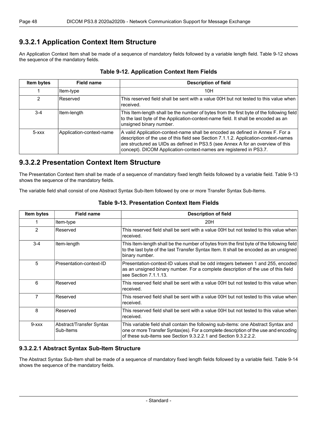# **9.3.2.1 Application Context Item Structure**

<span id="page-47-0"></span>An Application Context Item shall be made of a sequence of mandatory fields followed by a variable length field. [Table](#page-47-0) 9-12 shows the sequence of the mandatory fields.

| Item bytes | <b>Field name</b>        | <b>Description of field</b>                                                                                                                                                                                                                                                                                                    |
|------------|--------------------------|--------------------------------------------------------------------------------------------------------------------------------------------------------------------------------------------------------------------------------------------------------------------------------------------------------------------------------|
|            | Item-type                | 10H                                                                                                                                                                                                                                                                                                                            |
| 2          | ∣Reserved                | This reserved field shall be sent with a value 00H but not tested to this value when<br>received.                                                                                                                                                                                                                              |
| $3-4$      | Item-length              | This Item-length shall be the number of bytes from the first byte of the following field<br>to the last byte of the Application-context-name field. It shall be encoded as an<br>unsigned binary number.                                                                                                                       |
| $5  xxx$   | Application-context-name | A valid Application-context-name shall be encoded as defined in Annex F. For a<br>description of the use of this field see Section 7.1.1.2. Application-context-names<br>are structured as UIDs as defined in PS3.5 (see Annex A for an overview of this<br>concept). DICOM Application-context-names are registered in PS3.7. |

#### **Table 9-12. Application Context Item Fields**

# **9.3.2.2 Presentation Context Item Structure**

<span id="page-47-1"></span>The Presentation Context Item shall be made of a sequence of mandatory fixed length fields followed by a variable field. [Table](#page-47-1) 9-13 shows the sequence of the mandatory fields.

The variable field shall consist of one Abstract Syntax Sub-Item followed by one or more Transfer Syntax Sub-Items.

| Item bytes  | <b>Field name</b>                     | <b>Description of field</b>                                                                                                                                                                                                                  |
|-------------|---------------------------------------|----------------------------------------------------------------------------------------------------------------------------------------------------------------------------------------------------------------------------------------------|
|             | Item-type                             | 20H                                                                                                                                                                                                                                          |
| 2           | Reserved                              | This reserved field shall be sent with a value 00H but not tested to this value when $\mathbin $<br>received.                                                                                                                                |
| $3 - 4$     | Item-length                           | This Item-length shall be the number of bytes from the first byte of the following field<br>to the last byte of the last Transfer Syntax Item. It shall be encoded as an unsigned<br>binary number.                                          |
| 5           | Presentation-context-ID               | Presentation-context-ID values shall be odd integers between 1 and 255, encoded<br>as an unsigned binary number. For a complete description of the use of this field<br>see Section 7.1.1.13.                                                |
| 6           | Reserved                              | This reserved field shall be sent with a value 00H but not tested to this value when<br>received.                                                                                                                                            |
|             | Reserved                              | This reserved field shall be sent with a value 00H but not tested to this value when<br>received.                                                                                                                                            |
| 8           | Reserved                              | This reserved field shall be sent with a value 00H but not tested to this value when<br>received.                                                                                                                                            |
| $9 - x x x$ | Abstract/Transfer Syntax<br>Sub-Items | This variable field shall contain the following sub-items: one Abstract Syntax and<br>one or more Transfer Syntax(es). For a complete description of the use and encoding<br>of these sub-items see Section 9.3.2.2.1 and Section 9.3.2.2.2. |

#### **Table 9-13. Presentation Context Item Fields**

#### <span id="page-47-2"></span>**9.3.2.2.1 Abstract Syntax Sub-Item Structure**

The Abstract Syntax Sub-Item shall be made of a sequence of mandatory fixed length fields followed by a variable field. [Table](#page-48-1) 9-14 shows the sequence of the mandatory fields.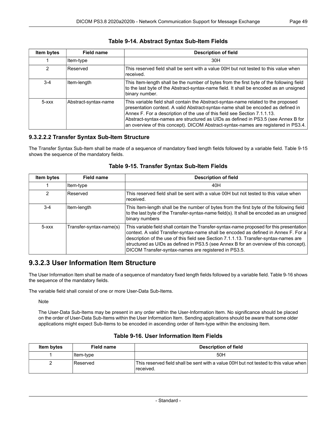<span id="page-48-1"></span>

| Item bytes    | Field name           | <b>Description of field</b>                                                                                                                                                                                                                                                                                                                                                                                                     |
|---------------|----------------------|---------------------------------------------------------------------------------------------------------------------------------------------------------------------------------------------------------------------------------------------------------------------------------------------------------------------------------------------------------------------------------------------------------------------------------|
|               | Item-type            | 30H                                                                                                                                                                                                                                                                                                                                                                                                                             |
| $\mathcal{P}$ | Reserved             | This reserved field shall be sent with a value 00H but not tested to this value when<br>received.                                                                                                                                                                                                                                                                                                                               |
| $3-4$         | Item-length          | This Item-length shall be the number of bytes from the first byte of the following field<br>to the last byte of the Abstract-syntax-name field. It shall be encoded as an unsigned<br>binary number.                                                                                                                                                                                                                            |
| $5 - XXX$     | Abstract-syntax-name | This variable field shall contain the Abstract-syntax-name related to the proposed<br>presentation context. A valid Abstract-syntax-name shall be encoded as defined in<br>Annex F. For a description of the use of this field see Section 7.1.1.13.<br>Abstract-syntax-names are structured as UIDs as defined in PS3.5 (see Annex B for<br>an overview of this concept). DICOM Abstract-syntax-names are registered in PS3.4. |

#### **Table 9-14. Abstract Syntax Sub-Item Fields**

#### <span id="page-48-0"></span>**9.3.2.2.2 Transfer Syntax Sub-Item Structure**

<span id="page-48-2"></span>The Transfer Syntax Sub-Item shall be made of a sequence of mandatory fixed length fields followed by a variable field. [Table](#page-48-2) 9-15 shows the sequence of the mandatory fields.

| Item bytes | <b>Field name</b>       | <b>Description of field</b>                                                                                                                                                                                                                                                                                                                                                                                               |
|------------|-------------------------|---------------------------------------------------------------------------------------------------------------------------------------------------------------------------------------------------------------------------------------------------------------------------------------------------------------------------------------------------------------------------------------------------------------------------|
|            | Item-type               | 40H                                                                                                                                                                                                                                                                                                                                                                                                                       |
| 2          | <b>Reserved</b>         | This reserved field shall be sent with a value 00H but not tested to this value when<br>received.                                                                                                                                                                                                                                                                                                                         |
| $3 - 4$    | Item-length             | This Item-length shall be the number of bytes from the first byte of the following field<br>to the last byte of the Transfer-syntax-name field(s). It shall be encoded as an unsigned<br>binary numbers                                                                                                                                                                                                                   |
| $5 - XXX$  | Transfer-syntax-name(s) | This variable field shall contain the Transfer-syntax-name proposed for this presentation<br>context. A valid Transfer-syntax-name shall be encoded as defined in Annex F. For a<br>description of the use of this field see Section 7.1.1.13. Transfer-syntax-names are<br>structured as UIDs as defined in PS3.5 (see Annex B for an overview of this concept).<br>DICOM Transfer-syntax-names are registered in PS3.5. |

#### **Table 9-15. Transfer Syntax Sub-Item Fields**

# **9.3.2.3 User Information Item Structure**

The User Information Item shall be made of a sequence of mandatory fixed length fields followed by a variable field. [Table](#page-48-3) 9-16 shows the sequence of the mandatory fields.

<span id="page-48-3"></span>The variable field shall consist of one or more User-Data Sub-Items.

Note

The User-Data Sub-Items may be present in any order within the User-Information Item. No significance should be placed on the order of User-Data Sub-Items within the User Information Item. Sending applications should be aware that some older applications might expect Sub-Items to be encoded in ascending order of Item-type within the enclosing Item.

| Item bytes | <b>Field name</b> | <b>Description of field</b>                                                                       |
|------------|-------------------|---------------------------------------------------------------------------------------------------|
|            | ∣ltem-t∨pe        | 50H                                                                                               |
|            | Reserved          | This reserved field shall be sent with a value 00H but not tested to this value when<br>received. |

#### **Table 9-16. User Information Item Fields**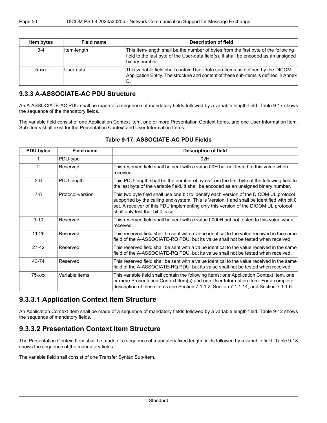| Item bytes      | Field name  | <b>Description of field</b>                                                                                                                                                                  |
|-----------------|-------------|----------------------------------------------------------------------------------------------------------------------------------------------------------------------------------------------|
| $3 - 4$         | Item-length | This Item-length shall be the number of bytes from the first byte of the following<br>field to the last byte of the User-data field(s). It shall be encoded as an unsigned<br>binary number. |
| $5 - x$ $x$ $x$ | User-data   | This variable field shall contain User-data sub-items as defined by the DICOM<br>Application Entity. The structure and content of these sub-items is defined in Annex<br>D.                  |

## **9.3.3 A-ASSOCIATE-AC PDU Structure**

An A-ASSOCIATE-AC PDU shall be made of a sequence of mandatory fields followed by a variable length field. [Table](#page-49-0) 9-17 shows the sequence of the mandatory fields.

<span id="page-49-0"></span>The variable field consist of one Application Context Item, one or more Presentation Context Items, and one User Information Item. Sub-Items shall exist for the Presentation Context and User Information Items.

| <b>PDU bytes</b> | <b>Field name</b> | <b>Description of field</b>                                                                                                                                                                                                                                                                                       |
|------------------|-------------------|-------------------------------------------------------------------------------------------------------------------------------------------------------------------------------------------------------------------------------------------------------------------------------------------------------------------|
|                  | PDU-type          | 02H                                                                                                                                                                                                                                                                                                               |
| $\mathcal{P}$    | Reserved          | This reserved field shall be sent with a value 00H but not tested to this value when<br>received.                                                                                                                                                                                                                 |
| $3-6$            | PDU-length        | This PDU-length shall be the number of bytes from the first byte of the following field to<br>the last byte of the variable field. It shall be encoded as an unsigned binary number.                                                                                                                              |
| $7-8$            | Protocol-version  | This two byte field shall use one bit to identify each version of the DICOM UL protocol<br>supported by the calling end-system. This is Version 1 and shall be identified with bit 0<br>set. A receiver of this PDU implementing only this version of the DICOM UL protocol<br>shall only test that bit 0 is set. |
| $9 - 10$         | Reserved          | This reserved field shall be sent with a value 0000H but not tested to this value when<br>received.                                                                                                                                                                                                               |
| $11 - 26$        | Reserved          | This reserved field shall be sent with a value identical to the value received in the same<br>field of the A-ASSOCIATE-RQ PDU, but its value shall not be tested when received.                                                                                                                                   |
| $27-42$          | Reserved          | This reserved field shall be sent with a value identical to the value received in the same<br>field of the A-ASSOCIATE-RQ PDU, but its value shall not be tested when received.                                                                                                                                   |
| 43-74            | Reserved          | This reserved field shall be sent with a value identical to the value received in the same<br>field of the A-ASSOCIATE-RQ PDU, but its value shall not be tested when received.                                                                                                                                   |
| $75  xxx$        | Variable items    | This variable field shall contain the following items: one Application Context Item, one<br>or more Presentation Context Item(s) and one User Information Item. For a complete<br>description of these items see Section 7.1.1.2, Section 7.1.1.14, and Section 7.1.1.6.                                          |

#### **Table 9-17. ASSOCIATE-AC PDU Fields**

# **9.3.3.1 Application Context Item Structure**

An Application Context Item shall be made of a sequence of mandatory fields followed by a variable length field. [Table](#page-47-0) 9-12 shows the sequence of mandatory fields.

# **9.3.3.2 Presentation Context Item Structure**

The Presentation Context Item shall be made of a sequence of mandatory fixed length fields followed by a variable field. [Table](#page-50-0) 9-18 shows the sequence of the mandatory fields.

The variable field shall consist of one Transfer Syntax Sub-Item.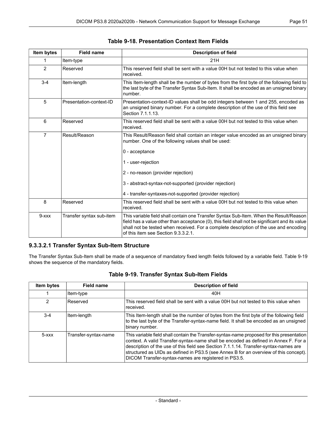<span id="page-50-0"></span>

| Item bytes     | <b>Field name</b>        | <b>Description of field</b>                                                                                                                                                                                                                                                                                                                     |
|----------------|--------------------------|-------------------------------------------------------------------------------------------------------------------------------------------------------------------------------------------------------------------------------------------------------------------------------------------------------------------------------------------------|
| 1              | Item-type                | 21H                                                                                                                                                                                                                                                                                                                                             |
| 2              | Reserved                 | This reserved field shall be sent with a value 00H but not tested to this value when<br>received.                                                                                                                                                                                                                                               |
| $3 - 4$        | Item-length              | This Item-length shall be the number of bytes from the first byte of the following field to<br>the last byte of the Transfer Syntax Sub-Item. It shall be encoded as an unsigned binary<br>number.                                                                                                                                              |
| 5              | Presentation-context-ID  | Presentation-context-ID values shall be odd integers between 1 and 255, encoded as<br>an unsigned binary number. For a complete description of the use of this field see<br>Section 7.1.1.13.                                                                                                                                                   |
| 6              | Reserved                 | This reserved field shall be sent with a value 00H but not tested to this value when<br>received.                                                                                                                                                                                                                                               |
| $\overline{7}$ | Result/Reason            | This Result/Reason field shall contain an integer value encoded as an unsigned binary<br>number. One of the following values shall be used:<br>0 - acceptance<br>1 - user-rejection<br>2 - no-reason (provider rejection)<br>3 - abstract-syntax-not-supported (provider rejection)<br>4 - transfer-syntaxes-not-supported (provider rejection) |
| 8              | Reserved                 | This reserved field shall be sent with a value 00H but not tested to this value when<br>received.                                                                                                                                                                                                                                               |
| $9 - xxx$      | Transfer syntax sub-item | This variable field shall contain one Transfer Syntax Sub-Item. When the Result/Reason<br>field has a value other than acceptance (0), this field shall not be significant and its value<br>shall not be tested when received. For a complete description of the use and encoding<br>of this item see Section 9.3.3.2.1.                        |

#### **Table 9-18. Presentation Context Item Fields**

## <span id="page-50-2"></span><span id="page-50-1"></span>**9.3.3.2.1 Transfer Syntax Sub-Item Structure**

The Transfer Syntax Sub-Item shall be made of a sequence of mandatory fixed length fields followed by a variable field. [Table](#page-50-2) 9-19 shows the sequence of the mandatory fields.

| Item bytes | <b>Field name</b>    | <b>Description of field</b>                                                                                                                                                                                                                                                                                                                                                                                               |
|------------|----------------------|---------------------------------------------------------------------------------------------------------------------------------------------------------------------------------------------------------------------------------------------------------------------------------------------------------------------------------------------------------------------------------------------------------------------------|
|            | Item-type            | 40H                                                                                                                                                                                                                                                                                                                                                                                                                       |
| 2          | Reserved             | This reserved field shall be sent with a value 00H but not tested to this value when<br>received.                                                                                                                                                                                                                                                                                                                         |
| $3 - 4$    | Item-length          | This Item-length shall be the number of bytes from the first byte of the following field<br>to the last byte of the Transfer-syntax-name field. It shall be encoded as an unsigned<br>binary number.                                                                                                                                                                                                                      |
| $5 - XXX$  | Transfer-syntax-name | This variable field shall contain the Transfer-syntax-name proposed for this presentation<br>context. A valid Transfer-syntax-name shall be encoded as defined in Annex F. For a<br>description of the use of this field see Section 7.1.1.14. Transfer-syntax-names are<br>structured as UIDs as defined in PS3.5 (see Annex B for an overview of this concept).<br>DICOM Transfer-syntax-names are registered in PS3.5. |

## **Table 9-19. Transfer Syntax Sub-Item Fields**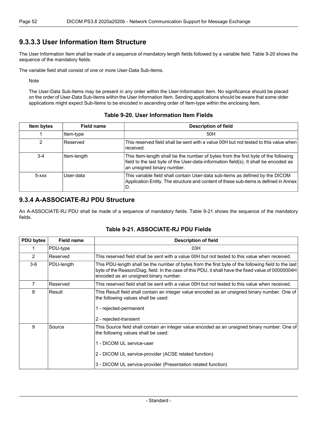## **9.3.3.3 User Information Item Structure**

The User Information Item shall be made of a sequence of mandatory length fields followed by a variable field. [Table](#page-51-0) 9-20 shows the sequence of the mandatory fields.

The variable field shall consist of one or more User-Data Sub-Items.

**Note** 

<span id="page-51-0"></span>The User-Data Sub-Items may be present in any order within the User-Information Item. No significance should be placed on the order of User-Data Sub-Items within the User Information Item. Sending applications should be aware that some older applications might expect Sub-Items to be encoded in ascending order of Item-type within the enclosing Item.

#### **Table 9-20. User Information Item Fields**

| Item bytes      | <b>Field name</b> | <b>Description of field</b>                                                                                                                                                                              |
|-----------------|-------------------|----------------------------------------------------------------------------------------------------------------------------------------------------------------------------------------------------------|
|                 | Item-type         | 50H                                                                                                                                                                                                      |
| 2               | Reserved          | This reserved field shall be sent with a value 00H but not tested to this value when<br>received.                                                                                                        |
| $3 - 4$         | Item-length       | This Item-length shall be the number of bytes from the first byte of the following<br>field to the last byte of the User-data-information field(s). It shall be encoded as<br>an unsigned binary number. |
| $5 - x$ $x$ $x$ | User-data         | This variable field shall contain User-data sub-items as defined by the DICOM<br>Application Entity. The structure and content of these sub-items is defined in Annex<br>ID.                             |

## **9.3.4 A-ASSOCIATE-RJ PDU Structure**

<span id="page-51-1"></span>An A-ASSOCIATE-RJ PDU shall be made of a sequence of mandatory fields. [Table](#page-51-1) 9-21 shows the sequence of the mandatory fields.

| <b>PDU bytes</b> | <b>Field name</b> | <b>Description of field</b>                                                                                                                                                                                                                                                                 |
|------------------|-------------------|---------------------------------------------------------------------------------------------------------------------------------------------------------------------------------------------------------------------------------------------------------------------------------------------|
|                  | PDU-type          | 03H                                                                                                                                                                                                                                                                                         |
| 2                | Reserved          | This reserved field shall be sent with a value 00H but not tested to this value when received.                                                                                                                                                                                              |
| $3-6$            | PDU-length        | This PDU-length shall be the number of bytes from the first byte of the following field to the last<br>byte of the Reason/Diag. field. In the case of this PDU, it shall have the fixed value of 00000004H<br>encoded as an unsigned binary number.                                         |
| $\overline{7}$   | Reserved          | This reserved field shall be sent with a value 00H but not tested to this value when received.                                                                                                                                                                                              |
| 8                | Result            | This Result field shall contain an integer value encoded as an unsigned binary number. One of<br>the following values shall be used:<br>1 - rejected-permanent<br>2 - rejected-transient                                                                                                    |
| 9                | Source            | This Source field shall contain an integer value encoded as an unsigned binary number. One of<br>the following values shall be used:<br>1 - DICOM UL service-user<br>2 - DICOM UL service-provider (ACSE related function)<br>3 - DICOM UL service-provider (Presentation related function) |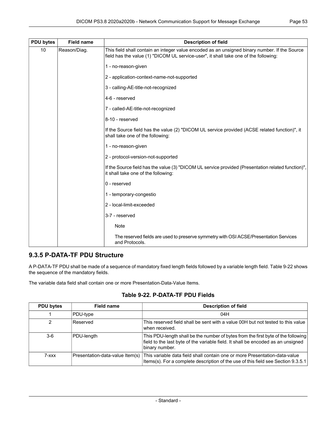| <b>PDU bytes</b> | <b>Field name</b> | <b>Description of field</b>                                                                                                                                                           |
|------------------|-------------------|---------------------------------------------------------------------------------------------------------------------------------------------------------------------------------------|
| 10               | Reason/Diag.      | This field shall contain an integer value encoded as an unsigned binary number. If the Source<br>field has the value (1) "DICOM UL service-user", it shall take one of the following: |
|                  |                   | 1 - no-reason-given                                                                                                                                                                   |
|                  |                   | 2 - application-context-name-not-supported                                                                                                                                            |
|                  |                   | 3 - calling-AE-title-not-recognized                                                                                                                                                   |
|                  |                   | 4-6 - reserved                                                                                                                                                                        |
|                  |                   | 7 - called-AE-title-not-recognized                                                                                                                                                    |
|                  |                   | 8-10 - reserved                                                                                                                                                                       |
|                  |                   | If the Source field has the value (2) "DICOM UL service provided (ACSE related function)", it<br>shall take one of the following:                                                     |
|                  |                   | 1 - no-reason-given                                                                                                                                                                   |
|                  |                   | 2 - protocol-version-not-supported                                                                                                                                                    |
|                  |                   | If the Source field has the value (3) "DICOM UL service provided (Presentation related function)",<br>it shall take one of the following:                                             |
|                  |                   | 0 - reserved                                                                                                                                                                          |
|                  |                   | 1 - temporary-congestio                                                                                                                                                               |
|                  |                   | 2 - local-limit-exceeded                                                                                                                                                              |
|                  |                   | 3-7 - reserved                                                                                                                                                                        |
|                  |                   | Note                                                                                                                                                                                  |
|                  |                   | The reserved fields are used to preserve symmetry with OSI ACSE/Presentation Services<br>and Protocols.                                                                               |

## **9.3.5 P-DATA-TF PDU Structure**

<span id="page-52-0"></span>A P-DATA-TF PDU shall be made of a sequence of mandatory fixed length fields followed by a variable length field. [Table](#page-52-0) 9-22 shows the sequence of the mandatory fields.

The variable data field shall contain one or more Presentation-Data-Value Items.

#### **Table 9-22. P-DATA-TF PDU Fields**

| <b>PDU bytes</b> | <b>Field name</b> | <b>Description of field</b>                                                                                                                                                                     |
|------------------|-------------------|-------------------------------------------------------------------------------------------------------------------------------------------------------------------------------------------------|
|                  | PDU-type          | 04H                                                                                                                                                                                             |
|                  | Reserved          | This reserved field shall be sent with a value 00H but not tested to this value<br>when received.                                                                                               |
| $3-6$            | PDU-length        | This PDU-length shall be the number of bytes from the first byte of the following<br>field to the last byte of the variable field. It shall be encoded as an unsigned<br>binary number.         |
| 7-xxx            |                   | Presentation-data-value Item(s) This variable data field shall contain one or more Presentation-data-value<br>Items(s). For a complete description of the use of this field see Section 9.3.5.1 |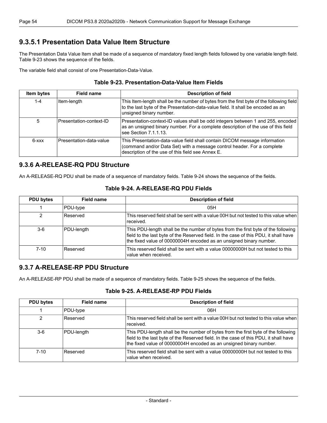# <span id="page-53-0"></span>**9.3.5.1 Presentation Data Value Item Structure**

The Presentation Data Value Item shall be made of a sequence of mandatory fixed length fields followed by one variable length field. [Table](#page-53-1) 9-23 shows the sequence of the fields.

<span id="page-53-1"></span>The variable field shall consist of one Presentation-Data-Value.

| Table 9-23. Presentation-Data-Value Item Fields |  |
|-------------------------------------------------|--|
|-------------------------------------------------|--|

| Item bytes      | Field name              | <b>Description of field</b>                                                                                                                                                                                |
|-----------------|-------------------------|------------------------------------------------------------------------------------------------------------------------------------------------------------------------------------------------------------|
| $1 - 4$         | Item-length             | This Item-length shall be the number of bytes from the first byte of the following field<br>to the last byte of the Presentation-data-value field. It shall be encoded as an<br>unsigned binary number.    |
| 5               | Presentation-context-ID | Presentation-context-ID values shall be odd integers between 1 and 255, encoded<br>as an unsigned binary number. For a complete description of the use of this field<br>see Section 7.1.1.13.              |
| $6 - x$ $x$ $x$ | Presentation-data-value | This Presentation-data-value field shall contain DICOM message information<br>(command and/or Data Set) with a message control header. For a complete<br>description of the use of this field see Annex E. |

### <span id="page-53-2"></span>**9.3.6 A-RELEASE-RQ PDU Structure**

An A-RELEASE-RQ PDU shall be made of a sequence of mandatory fields. [Table](#page-53-2) 9-24 shows the sequence of the fields.

| <b>PDU bytes</b> | Field name | <b>Description of field</b>                                                                                                                                                                                                                     |
|------------------|------------|-------------------------------------------------------------------------------------------------------------------------------------------------------------------------------------------------------------------------------------------------|
|                  | PDU-type   | 05H                                                                                                                                                                                                                                             |
| 2                | Reserved   | This reserved field shall be sent with a value 00H but not tested to this value when<br>received.                                                                                                                                               |
| 3-6              | PDU-length | This PDU-length shall be the number of bytes from the first byte of the following<br>field to the last byte of the Reserved field. In the case of this PDU, it shall have<br>the fixed value of 00000004H encoded as an unsigned binary number. |
| $7 - 10$         | Reserved   | This reserved field shall be sent with a value 00000000H but not tested to this<br>value when received.                                                                                                                                         |

#### **Table 9-24. A-RELEASE-RQ PDU Fields**

## <span id="page-53-3"></span>**9.3.7 A-RELEASE-RP PDU Structure**

An A-RELEASE-RP PDU shall be made of a sequence of mandatory fields. [Table](#page-53-3) 9-25 shows the sequence of the fields.

#### **Table 9-25. A-RELEASE-RP PDU Fields**

| <b>PDU bytes</b> | Field name | <b>Description of field</b>                                                                                                                                                                                                                     |
|------------------|------------|-------------------------------------------------------------------------------------------------------------------------------------------------------------------------------------------------------------------------------------------------|
|                  | PDU-type   | 06H                                                                                                                                                                                                                                             |
| 2                | Reserved   | This reserved field shall be sent with a value 00H but not tested to this value when<br>received.                                                                                                                                               |
| 3-6              | PDU-length | This PDU-length shall be the number of bytes from the first byte of the following<br>field to the last byte of the Reserved field. In the case of this PDU, it shall have<br>the fixed value of 00000004H encoded as an unsigned binary number. |
| $7 - 10$         | Reserved   | This reserved field shall be sent with a value 00000000H but not tested to this<br>value when received.                                                                                                                                         |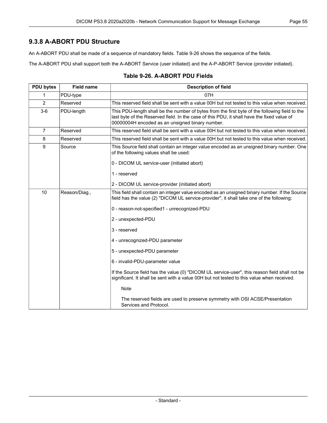## **9.3.8 A-ABORT PDU Structure**

An A-ABORT PDU shall be made of a sequence of mandatory fields. [Table](#page-54-0) 9-26 shows the sequence of the fields.

<span id="page-54-0"></span>The A-ABORT PDU shall support both the A-ABORT Service (user initiated) and the A-P-ABORT Service (provider initiated).

| <b>PDU bytes</b> | <b>Field name</b> | <b>Description of field</b>                                                                                                                                                                                                                     |  |
|------------------|-------------------|-------------------------------------------------------------------------------------------------------------------------------------------------------------------------------------------------------------------------------------------------|--|
| 1                | PDU-type          | 07H                                                                                                                                                                                                                                             |  |
| $\overline{2}$   | Reserved          | This reserved field shall be sent with a value 00H but not tested to this value when received.                                                                                                                                                  |  |
| $3-6$            | PDU-length        | This PDU-length shall be the number of bytes from the first byte of the following field to the<br>last byte of the Reserved field. In the case of this PDU, it shall have the fixed value of<br>00000004H encoded as an unsigned binary number. |  |
| $\overline{7}$   | Reserved          | This reserved field shall be sent with a value 00H but not tested to this value when received.                                                                                                                                                  |  |
| 8                | Reserved          | This reserved field shall be sent with a value 00H but not tested to this value when received.                                                                                                                                                  |  |
| 9                | Source            | This Source field shall contain an integer value encoded as an unsigned binary number. One<br>of the following values shall be used:                                                                                                            |  |
|                  |                   | 0 - DICOM UL service-user (initiated abort)                                                                                                                                                                                                     |  |
|                  |                   | 1 - reserved                                                                                                                                                                                                                                    |  |
|                  |                   | 2 - DICOM UL service-provider (initiated abort)                                                                                                                                                                                                 |  |
| 10               | Reason/Diag.,     | This field shall contain an integer value encoded as an unsigned binary number. If the Source<br>field has the value (2) "DICOM UL service-provider", it shall take one of the following:                                                       |  |
|                  |                   | 0 - reason-not-specified1 - unrecognized-PDU                                                                                                                                                                                                    |  |
|                  |                   | 2 - unexpected-PDU                                                                                                                                                                                                                              |  |
|                  |                   | 3 - reserved                                                                                                                                                                                                                                    |  |
|                  |                   | 4 - unrecognized-PDU parameter                                                                                                                                                                                                                  |  |
|                  |                   | 5 - unexpected-PDU parameter                                                                                                                                                                                                                    |  |
|                  |                   | 6 - invalid-PDU-parameter value                                                                                                                                                                                                                 |  |
|                  |                   | If the Source field has the value (0) "DICOM UL service-user", this reason field shall not be<br>significant. It shall be sent with a value 00H but not tested to this value when received.                                                     |  |
|                  |                   | <b>Note</b>                                                                                                                                                                                                                                     |  |
|                  |                   | The reserved fields are used to preserve symmetry with OSI ACSE/Presentation<br>Services and Protocol.                                                                                                                                          |  |

#### **Table 9-26. A-ABORT PDU Fields**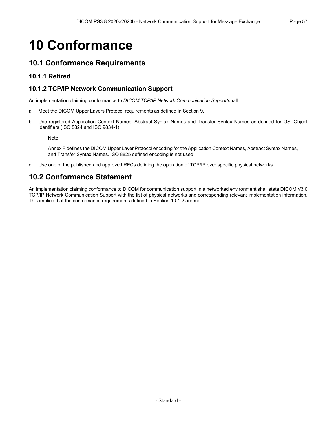# **10 Conformance**

# **10.1 Conformance Requirements**

# <span id="page-56-0"></span>**10.1.1 Retired**

## **10.1.2 TCP/IP Network Communication Support**

An implementation claiming conformance to *DICOM TCP/IP Network Communication Support*shall:

- a. Meet the DICOM Upper Layers Protocol requirements as defined in Section 9.
- b. Use registered Application Context Names, Abstract Syntax Names and Transfer Syntax Names as defined for OSI Object Identifiers (ISO 8824 and ISO 9834-1).

Note

[Annex](#page-68-0) F defines the DICOM Upper Layer Protocol encoding for the Application Context Names, Abstract Syntax Names, and Transfer Syntax Names. ISO 8825 defined encoding is not used.

c. Use one of the published and approved RFCs defining the operation of TCP/IP over specific physical networks.

# **10.2 Conformance Statement**

An implementation claiming conformance to DICOM for communication support in a networked environment shall state DICOM V3.0 TCP/IP Network Communication Support with the list of physical networks and corresponding relevant implementation information. This implies that the conformance requirements defined in [Section](#page-56-0) 10.1.2 are met.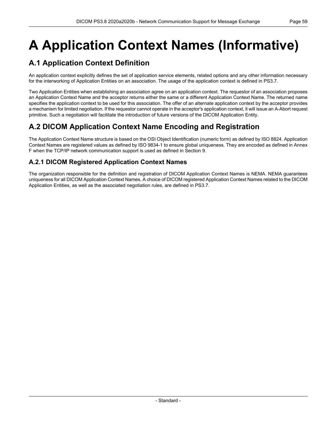# <span id="page-58-0"></span>**A Application Context Names (Informative)**

# **A.1 Application Context Definition**

An application context explicitly defines the set of application service elements, related options and any other information necessary for the interworking of Application Entities on an association. The usage of the application context is defined in [PS3.7](part07.pdf#PS3.7).

Two Application Entities when establishing an association agree on an application context. The requestor of an association proposes an Application Context Name and the acceptor returns either the same or a different Application Context Name. The returned name specifies the application context to be used for this association. The offer of an alternate application context by the acceptor provides a mechanism for limited negotiation. If the requestor cannot operate in the acceptor's application context, it will issue an A-Abort request primitive. Such a negotiation will facilitate the introduction of future versions of the DICOM Application Entity.

# **A.2 DICOM Application Context Name Encoding and Registration**

The Application Context Name structure is based on the OSI Object Identification (numeric form) as defined by ISO 8824. Application Context Names are registered values as defined by ISO 9834-1 to ensure global uniqueness. They are encoded as defined in [Annex](#page-68-0) [F](#page-68-0) when the TCP/IP network communication support is used as defined in Section 9.

# **A.2.1 DICOM Registered Application Context Names**

The organization responsible for the definition and registration of DICOM Application Context Names is NEMA. NEMA guarantees uniqueness for all DICOM Application Context Names. A choice of DICOM registered Application Context Names related to the DICOM Application Entities, as well as the associated negotiation rules, are defined in [PS3.7.](part07.pdf#PS3.7)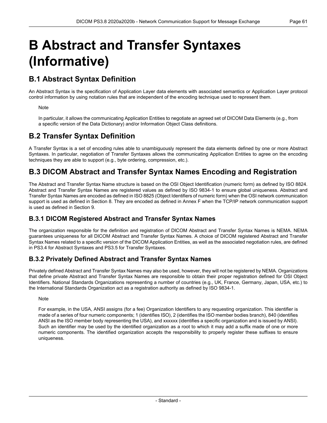# <span id="page-60-0"></span>**B Abstract and Transfer Syntaxes (Informative)**

# **B.1 Abstract Syntax Definition**

An Abstract Syntax is the specification of Application Layer data elements with associated semantics or Application Layer protocol control information by using notation rules that are independent of the encoding technique used to represent them.

#### **Note**

In particular, it allows the communicating Application Entities to negotiate an agreed set of DICOM Data Elements (e.g., from a specific version of the Data Dictionary) and/or Information Object Class definitions.

# **B.2 Transfer Syntax Definition**

A Transfer Syntax is a set of encoding rules able to unambiguously represent the data elements defined by one or more Abstract Syntaxes. In particular, negotiation of Transfer Syntaxes allows the communicating Application Entities to agree on the encoding techniques they are able to support (e.g., byte ordering, compression, etc.).

# **B.3 DICOM Abstract and Transfer Syntax Names Encoding and Registration**

The Abstract and Transfer Syntax Name structure is based on the OSI Object Identification (numeric form) as defined by ISO 8824. Abstract and Transfer Syntax Names are registered values as defined by ISO 9834-1 to ensure global uniqueness. Abstract and Transfer Syntax Names are encoded as defined in ISO 8825 (Object Identifiers of numeric form) when the OSI network communication support is used as defined in Section 8. They are encoded as defined in [Annex](#page-68-0) F when the TCP/IP network communication support is used as defined in Section 9.

## **B.3.1 DICOM Registered Abstract and Transfer Syntax Names**

The organization responsible for the definition and registration of DICOM Abstract and Transfer Syntax Names is NEMA. NEMA guarantees uniqueness for all DICOM Abstract and Transfer Syntax Names. A choice of DICOM registered Abstract and Transfer Syntax Names related to a specific version of the DICOM Application Entities, as well as the associated negotiation rules, are defined in [PS3.4](part04.pdf#PS3.4) for Abstract Syntaxes and [PS3.5](part05.pdf#PS3.5) for Transfer Syntaxes.

## **B.3.2 Privately Defined Abstract and Transfer Syntax Names**

Privately defined Abstract and Transfer Syntax Names may also be used, however, they will not be registered by NEMA. Organizations that define private Abstract and Transfer Syntax Names are responsible to obtain their proper registration defined for OSI Object Identifiers. National Standards Organizations representing a number of countries (e.g., UK, France, Germany, Japan, USA, etc.) to the International Standards Organization act as a registration authority as defined by ISO 9834-1.

#### **Note**

For example, in the USA, ANSI assigns (for a fee) Organization Identifiers to any requesting organization. This identifier is made of a series of four numeric components; 1 (identifies ISO), 2 (identifies the ISO member bodies branch), 840 (identifies ANSI as the ISO member body representing the USA), and xxxxxx (identifies a specific organization and is issued by ANSI). Such an identifier may be used by the identified organization as a root to which it may add a suffix made of one or more numeric components. The identified organization accepts the responsibility to properly register these suffixes to ensure uniqueness.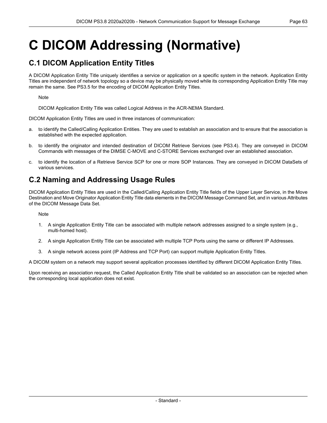# **C DICOM Addressing (Normative)**

# **C.1 DICOM Application Entity Titles**

A DICOM Application Entity Title uniquely identifies a service or application on a specific system in the network. Application Entity Titles are independent of network topology so a device may be physically moved while its corresponding Application Entity Title may remain the same. See [PS3.5](part05.pdf#PS3.5) for the encoding of DICOM Application Entity Titles.

Note

DICOM Application Entity Title was called Logical Address in the ACR-NEMA Standard.

DICOM Application Entity Titles are used in three instances of communication:

- a. to identify the Called/Calling Application Entities. They are used to establish an association and to ensure that the association is established with the expected application.
- b. to identify the originator and intended destination of DICOM Retrieve Services (see [PS3.4](part04.pdf#PS3.4)). They are conveyed in DICOM Commands with messages of the DIMSE C-MOVE and C-STORE Services exchanged over an established association.
- c. to identify the location of a Retrieve Service SCP for one or more SOP Instances. They are conveyed in DICOM DataSets of various services.

# **C.2 Naming and Addressing Usage Rules**

DICOM Application Entity Titles are used in the Called/Calling Application Entity Title fields of the Upper Layer Service, in the Move Destination and Move Originator Application Entity Title data elements in the DICOM Message Command Set, and in various Attributes of the DICOM Message Data Set.

**Note** 

- 1. A single Application Entity Title can be associated with multiple network addresses assigned to a single system (e.g., multi-homed host).
- 2. A single Application Entity Title can be associated with multiple TCP Ports using the same or different IP Addresses.
- 3. A single network access point (IP Address and TCP Port) can support multiple Application Entity Titles.

A DICOM system on a network may support several application processes identified by different DICOM Application Entity Titles.

Upon receiving an association request, the Called Application Entity Title shall be validated so an association can be rejected when the corresponding local application does not exist.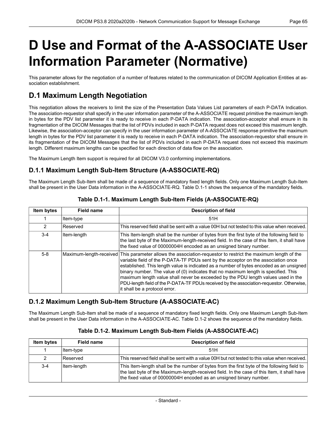# <span id="page-64-0"></span>**D Use and Format of the A-ASSOCIATE User Information Parameter (Normative)**

This parameter allows for the negotiation of a number of features related to the communication of DICOM Application Entities at as sociation establishment.

# **D.1 Maximum Length Negotiation**

This negotiation allows the receivers to limit the size of the Presentation Data Values List parameters of each P-DATA Indication. The association-requestor shall specify in the user information parameter of the A-ASSOCIATE request primitive the maximum length in bytes for the PDV list parameter it is ready to receive in each P-DATA indication. The association-acceptor shall ensure in its fragmentation of the DICOM Messages that the list of PDVs included in each P-DATA request does not exceed this maximum length. Likewise, the association-acceptor can specify in the user information parameter of A-ASSOCIATE response primitive the maximum length in bytes for the PDV list parameter it is ready to receive in each P-DATA indication. The association-requestor shall ensure in its fragmentation of the DICOM Messages that the list of PDVs included in each P-DATA request does not exceed this maximum length. Different maximum lengths can be specified for each direction of data flow on the association.

The Maximum Length Item support is required for all DICOM V3.0 conforming implementations.

# **D.1.1 Maximum Length Sub-Item Structure (A-ASSOCIATE-RQ)**

<span id="page-64-1"></span>The Maximum Length Sub-Item shall be made of a sequence of mandatory fixed length fields. Only one Maximum Length Sub-Item shall be present in the User Data information in the A-ASSOCIATE-RQ. [Table](#page-64-1) D.1-1 shows the sequence of the mandatory fields.

| Item bytes | <b>Field name</b> | <b>Description of field</b>                                                                                                                                                                                                                                                                                                                                                                                                                                                                                                                                                                            |
|------------|-------------------|--------------------------------------------------------------------------------------------------------------------------------------------------------------------------------------------------------------------------------------------------------------------------------------------------------------------------------------------------------------------------------------------------------------------------------------------------------------------------------------------------------------------------------------------------------------------------------------------------------|
|            | Item-type         | 51H                                                                                                                                                                                                                                                                                                                                                                                                                                                                                                                                                                                                    |
| 2          | Reserved          | This reserved field shall be sent with a value 00H but not tested to this value when received.                                                                                                                                                                                                                                                                                                                                                                                                                                                                                                         |
| $3 - 4$    | Item-length       | This Item-length shall be the number of bytes from the first byte of the following field to<br>the last byte of the Maximum-length-received field. In the case of this Item, it shall have<br>the fixed value of 00000004H encoded as an unsigned binary number.                                                                                                                                                                                                                                                                                                                                       |
| $5 - 8$    |                   | Maximum-length-received This parameter allows the association-requestor to restrict the maximum length of the<br>variable field of the P-DATA-TF PDUs sent by the acceptor on the association once<br>established. This length value is indicated as a number of bytes encoded as an unsigned<br>binary number. The value of (0) indicates that no maximum length is specified. This<br>maximum length value shall never be exceeded by the PDU length values used in the<br>PDU-length field of the P-DATA-TF PDUs received by the association-requestor. Otherwise,<br>it shall be a protocol error. |

## **Table D.1-1. Maximum Length Sub-Item Fields (A-ASSOCIATE-RQ)**

## <span id="page-64-2"></span>**D.1.2 Maximum Length Sub-Item Structure (A-ASSOCIATE-AC)**

The Maximum Length Sub-Item shall be made of a sequence of mandatory fixed length fields. Only one Maximum Length Sub-Item shall be present in the User Data information in the A-ASSOCIATE-AC. [Table](#page-64-2) D.1-2 shows the sequence of the mandatory fields.

| <b>Item bytes</b> | Field name  | <b>Description of field</b>                                                                                                                                                                                                                                      |
|-------------------|-------------|------------------------------------------------------------------------------------------------------------------------------------------------------------------------------------------------------------------------------------------------------------------|
|                   | ltem-type   | 51H                                                                                                                                                                                                                                                              |
| 2                 | l Reserved  | This reserved field shall be sent with a value 00H but not tested to this value when received.                                                                                                                                                                   |
| $3 - 4$           | Item-length | This Item-length shall be the number of bytes from the first byte of the following field to<br>the last byte of the Maximum-length-received field. In the case of this Item, it shall have<br>the fixed value of 00000004H encoded as an unsigned binary number. |

#### **Table D.1-2. Maximum Length Sub-Item Fields (A-ASSOCIATE-AC)**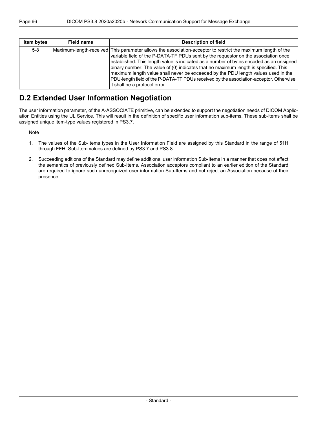| <b>Item bytes</b> | Field name | <b>Description of field</b>                                                                                                                                                                                                                                                                                                                                                                                                                                                                                                                                                                           |
|-------------------|------------|-------------------------------------------------------------------------------------------------------------------------------------------------------------------------------------------------------------------------------------------------------------------------------------------------------------------------------------------------------------------------------------------------------------------------------------------------------------------------------------------------------------------------------------------------------------------------------------------------------|
| $5 - 8$           |            | Maximum-length-received This parameter allows the association-acceptor to restrict the maximum length of the<br>variable field of the P-DATA-TF PDUs sent by the requestor on the association once<br>established. This length value is indicated as a number of bytes encoded as an unsigned<br>binary number. The value of (0) indicates that no maximum length is specified. This<br>maximum length value shall never be exceeded by the PDU length values used in the<br>PDU-length field of the P-DATA-TF PDUs received by the association-acceptor. Otherwise,<br>it shall be a protocol error. |

# **D.2 Extended User Information Negotiation**

The user information parameter, of the A-ASSOCIATE primitive, can be extended to support the negotiation needs of DICOM Applic ation Entities using the UL Service. This will result in the definition of specific user information sub-items. These sub-items shall be assigned unique item-type values registered in [PS3.7](part07.pdf#PS3.7).

Note

- 1. The values of the Sub-Items types in the User Information Field are assigned by this Standard in the range of 51H through FFH. Sub-Item values are defined by [PS3.7](part07.pdf#PS3.7) and [PS3.8](#page-0-0).
- 2. Succeeding editions of the Standard may define additional user information Sub-Items in a manner that does not affect the semantics of previously defined Sub-Items. Association acceptors compliant to an earlier edition of the Standard are required to ignore such unrecognized user information Sub-Items and not reject an Association because of their presence.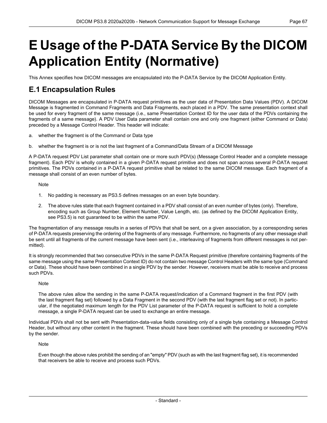# <span id="page-66-0"></span>**E Usage of the P-DATA Service By the DICOM Application Entity (Normative)**

This Annex specifies how DICOM messages are encapsulated into the P-DATA Service by the DICOM Application Entity.

# **E.1 Encapsulation Rules**

DICOM Messages are encapsulated in P-DATA request primitives as the user data of Presentation Data Values (PDV). A DICOM Message is fragmented in Command Fragments and Data Fragments, each placed in a PDV. The same presentation context shall be used for every fragment of the same message (i.e., same Presentation Context ID for the user data of the PDVs containing the fragments of a same message). A PDV User Data parameter shall contain one and only one fragment (either Command or Data) preceded by a Message Control Header. This header will indicate:

- a. whether the fragment is of the Command or Data type
- b. whether the fragment is or is not the last fragment of a Command/Data Stream of a DICOM Message

A P-DATA request PDV List parameter shall contain one or more such PDV(s) (Message Control Header and a complete message fragment). Each PDV is wholly contained in a given P-DATA request primitive and does not span across several P-DATA request primitives. The PDVs contained in a P-DATA request primitive shall be related to the same DICOM message. Each fragment of a message shall consist of an even number of bytes.

Note

- 1. No padding is necessary as [PS3.5](part05.pdf#PS3.5) defines messages on an even byte boundary.
- 2. The above rules state that each fragment contained in a PDV shall consist of an even number of bytes (only). Therefore, encoding such as Group Number, Element Number, Value Length, etc. (as defined by the DICOM Application Entity, see [PS3.5](part05.pdf#PS3.5)) is not guaranteed to be within the same PDV.

The fragmentation of any message results in a series of PDVs that shall be sent, on a given association, by a corresponding series of P-DATA requests preserving the ordering of the fragments of any message. Furthermore, no fragments of any other message shall be sent until all fragments of the current message have been sent (i.e., interleaving of fragments from different messages is not per mitted).

It is strongly recommended that two consecutive PDVs in the same P-DATA Request primitive (therefore containing fragments of the same message using the same Presentation Context ID) do not contain two message Control Headers with the same type (Command or Data). These should have been combined in a single PDV by the sender. However, receivers must be able to receive and process such PDVs.

#### **Note**

The above rules allow the sending in the same P-DATA request/indication of a Command fragment in the first PDV (with the last fragment flag set) followed by a Data Fragment in the second PDV (with the last fragment flag set or not). In partic ular, if the negotiated maximum length for the PDV List parameter of the P-DATA request is sufficient to hold a complete message, a single P-DATA request can be used to exchange an entire message.

Individual PDVs shall not be sent with Presentation-data-value fields consisting only of a single byte containing a Message Control Header, but without any other content in the fragment. These should have been combined with the preceding or succeeding PDVs by the sender.

Note

Even though the above rules prohibit the sending of an "empty" PDV (such as with the last fragment flag set), it is recommended that receivers be able to receive and process such PDVs.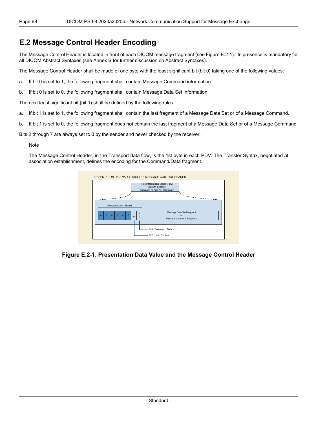# **E.2 Message Control Header Encoding**

The Message Control Header is located in front of each DICOM message fragment (see [Figure](#page-67-0) E.2-1). Its presence is mandatory for all DICOM Abstract Syntaxes (see [Annex](#page-60-0) B for further discussion on Abstract Syntaxes).

The Message Control Header shall be made of one byte with the least significant bit (bit 0) taking one of the following values:

- a. If bit 0 is set to 1, the following fragment shall contain Message Command information.
- b. If bit 0 is set to 0, the following fragment shall contain Message Data Set information.

The next least significant bit (bit 1) shall be defined by the following rules:

- a. If bit 1 is set to 1, the following fragment shall contain the last fragment of a Message Data Set or of a Message Command.
- b. If bit 1 is set to 0, the following fragment does not contain the last fragment of a Message Data Set or of a Message Command.

Bits 2 through 7 are always set to 0 by the sender and never checked by the receiver.

#### Note

<span id="page-67-0"></span>The Message Control Header, in the Transport data flow, is the 1st byte in each PDV. The Transfer Syntax, negotiated at association establishment, defines the encoding for the Command/Data fragment.



**Figure E.2-1. Presentation Data Value and the Message Control Header**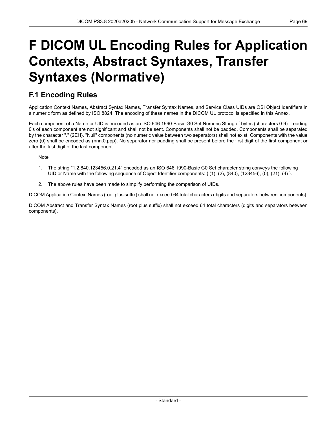# <span id="page-68-0"></span>**F DICOM UL Encoding Rules for Application Contexts, Abstract Syntaxes, Transfer Syntaxes (Normative)**

# **F.1 Encoding Rules**

Application Context Names, Abstract Syntax Names, Transfer Syntax Names, and Service Class UIDs are OSI Object Identifiers in a numeric form as defined by ISO 8824. The encoding of these names in the DICOM UL protocol is specified in this Annex.

Each component of a Name or UID is encoded as an ISO 646:1990-Basic G0 Set Numeric String of bytes (characters 0-9). Leading 0's of each component are not significant and shall not be sent. Components shall not be padded. Components shall be separated by the character "." (2EH). "Null" components (no numeric value between two separators) shall not exist. Components with the value zero (0) shall be encoded as (nnn.0.ppp). No separator nor padding shall be present before the first digit of the first component or after the last digit of the last component.

**Note** 

- 1. The string "1.2.840.123456.0.21.4" encoded as an ISO 646:1990-Basic G0 Set character string conveys the following UID or Name with the following sequence of Object Identifier components: { (1), (2), (840), (123456), (0), (21), (4) }.
- 2. The above rules have been made to simplify performing the comparison of UIDs.

DICOM Application Context Names (root plus suffix) shall not exceed 64 total characters (digits and separators between components).

DICOM Abstract and Transfer Syntax Names (root plus suffix) shall not exceed 64 total characters (digits and separators between components).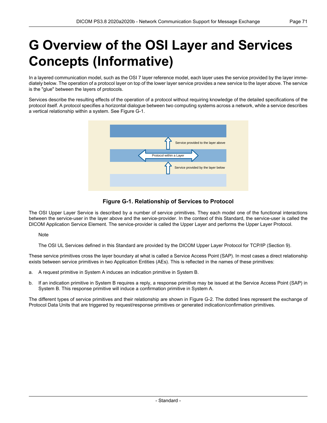# **G Overview of the OSI Layer and Services Concepts (Informative)**

In a layered communication model, such as the OSI 7 layer reference model, each layer uses the service provided by the layer imme diately below. The operation of a protocol layer on top of the lower layer service provides a new service to the layer above. The service is the "glue" between the layers of protocols.

<span id="page-70-0"></span>Services describe the resulting effects of the operation of a protocol without requiring knowledge of the detailed specifications of the protocol itself. A protocol specifies a horizontal dialogue between two computing systems across a network, while a service describes a vertical relationship within a system. See [Figure](#page-70-0) G-1.



## **Figure G-1. Relationship of Services to Protocol**

The OSI Upper Layer Service is described by a number of service primitives. They each model one of the functional interactions between the service-user in the layer above and the service-provider. In the context of this Standard, the service-user is called the DICOM Application Service Element. The service-provider is called the Upper Layer and performs the Upper Layer Protocol.

**Note** 

The OSI UL Services defined in this Standard are provided by the DICOM Upper Layer Protocol for TCP/IP (Section 9).

These service primitives cross the layer boundary at what is called a Service Access Point (SAP). In most cases a direct relationship exists between service primitives in two Application Entities (AEs). This is reflected in the names of these primitives:

- a. A request primitive in System A induces an indication primitive in System B.
- b. If an indication primitive in System B requires a reply, a response primitive may be issued at the Service Access Point (SAP) in System B. This response primitive will induce a confirmation primitive in System A.

The different types of service primitives and their relationship are shown in [Figure](#page-71-0) G-2. The dotted lines represent the exchange of Protocol Data Units that are triggered by request/response primitives or generated indication/confirmation primitives.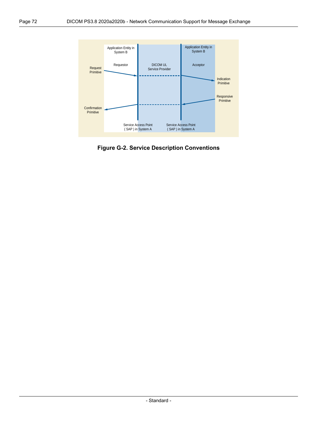<span id="page-71-0"></span>

**Figure G-2. Service Description Conventions**